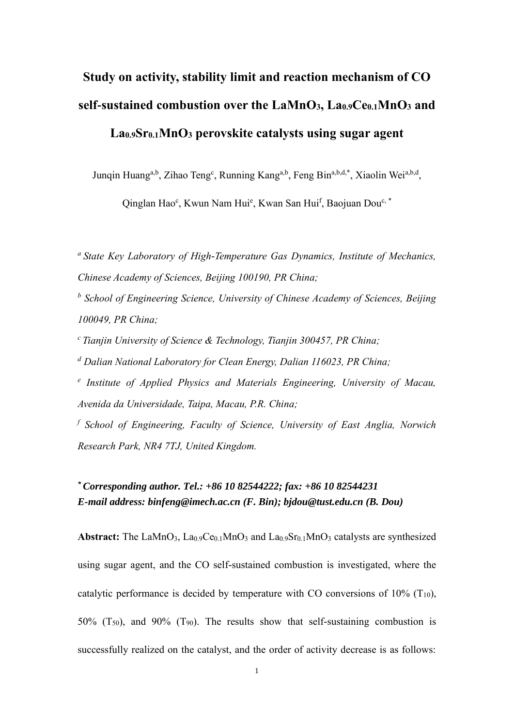# **Study on activity, stability limit and reaction mechanism of CO self-sustained combustion over the LaMnO3, La0.9Ce0.1MnO<sup>3</sup> and La0.9Sr0.1MnO<sup>3</sup> perovskite catalysts using sugar agent**

Junqin Huang<sup>a,b</sup>, Zihao Teng<sup>c</sup>, Running Kang<sup>a,b</sup>, Feng Bin<sup>a,b,d,\*</sup>, Xiaolin Wei<sup>a,b,d</sup>,

Qinglan Hao<sup>c</sup>, Kwun Nam Hui<sup>e</sup>, Kwan San Hui<sup>f</sup>, Baojuan Dou<sup>c, \*</sup>

*<sup>a</sup>State Key Laboratory of High-Temperature Gas Dynamics, Institute of Mechanics, Chinese Academy of Sciences, Beijing 100190, PR China;*

*b School of Engineering Science, University of Chinese Academy of Sciences, Beijing 100049, PR China;*

*<sup>c</sup>Tianjin University of Science & Technology, Tianjin 300457, PR China;*

*<sup>d</sup> Dalian National Laboratory for Clean Energy, Dalian 116023, PR China;*

*e Institute of Applied Physics and Materials Engineering, University of Macau, Avenida da Universidade, Taipa, Macau, P.R. China;*

*f School of Engineering, Faculty of Science, University of East Anglia, Norwich Research Park, NR4 7TJ, United Kingdom.*

# *\* Corresponding author. Tel.: +86 10 82544222; fax: +86 10 82544231 E-mail address: [binfeng@imech.ac.cn](mailto:binfeng@imech.ac.cn) (F. Bin); bjdou@tust.edu.cn (B. Dou)*

**Abstract:** The LaMnO<sub>3</sub>, La<sub>0.9</sub>Ce<sub>0.1</sub>MnO<sub>3</sub> and La<sub>0.9</sub>Sr<sub>0.1</sub>MnO<sub>3</sub> catalysts are synthesized using sugar agent, and the CO self-sustained combustion is investigated, where the catalytic performance is decided by temperature with CO conversions of  $10\%$  (T<sub>10</sub>), 50% ( $T_{50}$ ), and 90% ( $T_{90}$ ). The results show that self-sustaining combustion is successfully realized on the catalyst, and the order of activity decrease is as follows: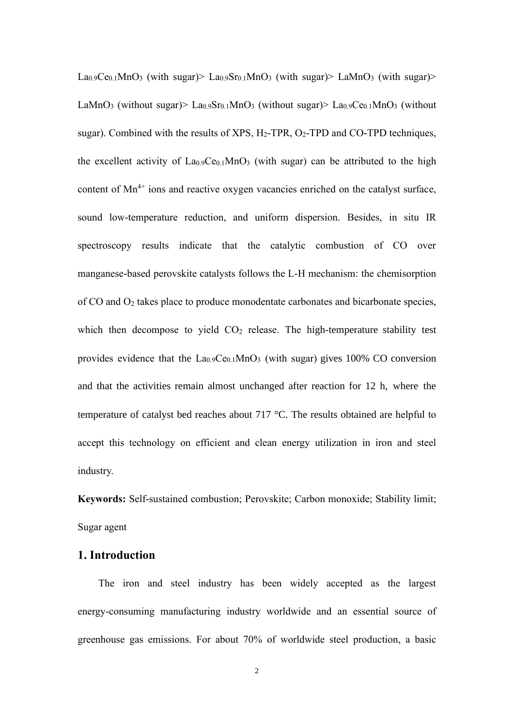La<sub>0.9</sub>Ce<sub>0.1</sub>MnO<sub>3</sub> (with sugar)> La<sub>0.9</sub>Sr<sub>0.1</sub>MnO<sub>3</sub> (with sugar)> LaMnO<sub>3</sub> (with sugar)> LaMnO<sub>3</sub> (without sugar)> La<sub>0.9</sub>Sr<sub>0.1</sub>MnO<sub>3</sub> (without sugar)> La<sub>0.9</sub>Ce<sub>0.1</sub>MnO<sub>3</sub> (without sugar). Combined with the results of XPS,  $H_2$ -TPR,  $O_2$ -TPD and CO-TPD techniques, the excellent activity of  $La<sub>0.9</sub>Ce<sub>0.1</sub>MnO<sub>3</sub>$  (with sugar) can be attributed to the high content of  $Mn^{4+}$  ions and reactive oxygen vacancies enriched on the catalyst surface, sound low-temperature reduction, and uniform dispersion. Besides, in situ IR spectroscopy results indicate that the catalytic combustion of CO over manganese-based perovskite catalysts follows the L-H mechanism: the chemisorption of CO and O<sup>2</sup> takes place to produce monodentate carbonates and bicarbonate species, which then decompose to yield  $CO<sub>2</sub>$  release. The high-temperature stability test provides evidence that the  $La<sub>0.9</sub>Ce<sub>0.1</sub>MnO<sub>3</sub>$  (with sugar) gives 100% CO conversion and that the activities remain almost unchanged after reaction for 12 h, where the temperature of catalyst bed reaches about 717 °C. The results obtained are helpful to accept this technology on efficient and clean energy utilization in iron and steel industry.

**Keywords:** Self-sustained combustion; Perovskite; Carbon monoxide; Stability limit; Sugar agent

# **1. Introduction**

The iron and steel industry has been widely accepted as the largest energy-consuming manufacturing industry worldwide and an essential source of greenhouse gas emissions. For about 70% of worldwide steel production, a basic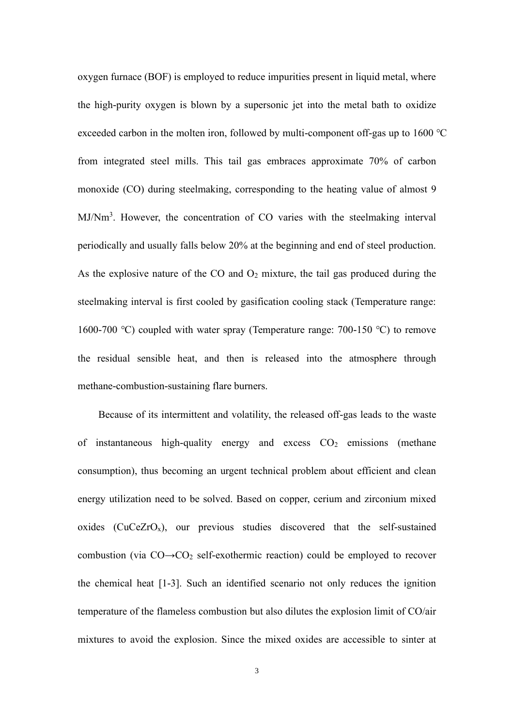oxygen furnace (BOF) is employed to reduce impurities present in liquid metal, where the high-purity oxygen is blown by a supersonic jet into the metal bath to oxidize exceeded carbon in the molten iron, followed by multi-component off-gas up to 1600 ℃ from integrated steel mills. This tail gas embraces approximate 70% of carbon monoxide (CO) during steelmaking, corresponding to the heating value of almost 9 MJ/Nm<sup>3</sup>. However, the concentration of CO varies with the steelmaking interval periodically and usually falls below 20% at the beginning and end of steel production. As the explosive nature of the CO and  $O_2$  mixture, the tail gas produced during the steelmaking interval is first cooled by gasification cooling stack (Temperature range: 1600-700 ℃) coupled with water spray (Temperature range: 700-150 ℃) to remove the residual sensible heat, and then is released into the atmosphere through methane-combustion-sustaining flare burners.

Because of its intermittent and volatility, the released off-gas leads to the waste of instantaneous high-quality energy and excess  $CO<sub>2</sub>$  emissions (methane consumption), thus becoming an urgent technical problem about efficient and clean energy utilization need to be solved. Based on copper, cerium and zirconium mixed oxides ( $CuCeZrO<sub>x</sub>$ ), our previous studies discovered that the self-sustained combustion (via  $CO \rightarrow CO_2$  self-exothermic reaction) could be employed to recover the chemical heat [1-3]. Such an identified scenario not only reduces the ignition temperature of the flameless combustion but also dilutes the explosion limit of CO/air mixtures to avoid the explosion. Since the mixed oxides are accessible to sinter at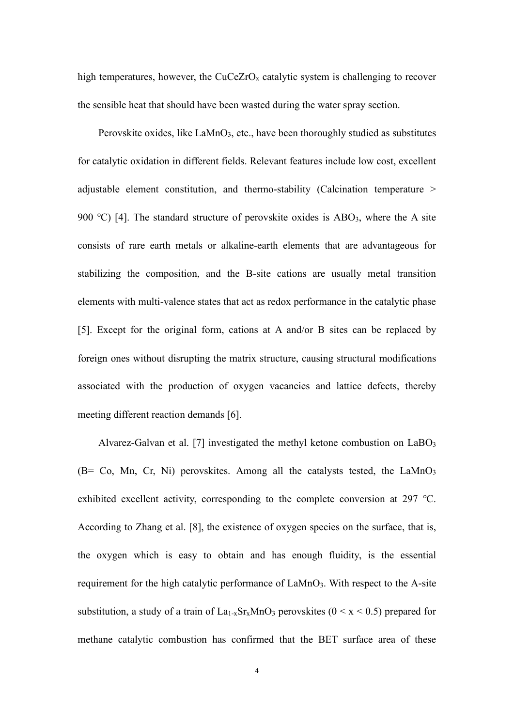high temperatures, however, the  $CuCeZrO<sub>x</sub>$  catalytic system is challenging to recover the sensible heat that should have been wasted during the water spray section.

Perovskite oxides, like  $\text{LaMnO}_3$ , etc., have been thoroughly studied as substitutes for catalytic oxidation in different fields. Relevant features include low cost, excellent adjustable element constitution, and thermo-stability (Calcination temperature > 900 °C) [4]. The standard structure of perovskite oxides is  $ABO<sub>3</sub>$ , where the A site consists of rare earth metals or alkaline-earth elements that are advantageous for stabilizing the composition, and the B-site cations are usually metal transition elements with multi-valence states that act as redox performance in the catalytic phase [5]. Except for the original form, cations at A and/or B sites can be replaced by foreign ones without disrupting the matrix structure, causing structural modifications associated with the production of oxygen vacancies and lattice defects, thereby meeting different reaction demands [6].

Alvarez-Galvan et al. [7] investigated the methyl ketone combustion on  $LaBO<sub>3</sub>$ (B= Co, Mn, Cr, Ni) perovskites. Among all the catalysts tested, the  $LaMnO<sub>3</sub>$ exhibited excellent activity, corresponding to the complete conversion at 297 ℃. According to Zhang et al. [8], the existence of oxygen species on the surface, that is, the oxygen which is easy to obtain and has enough fluidity, is the essential requirement for the high catalytic performance of LaMnO3. With respect to the A-site substitution, a study of a train of  $La<sub>1-x</sub>Sr<sub>x</sub>MnO<sub>3</sub>$  perovskites ( $0 \le x \le 0.5$ ) prepared for methane catalytic combustion has confirmed that the BET surface area of these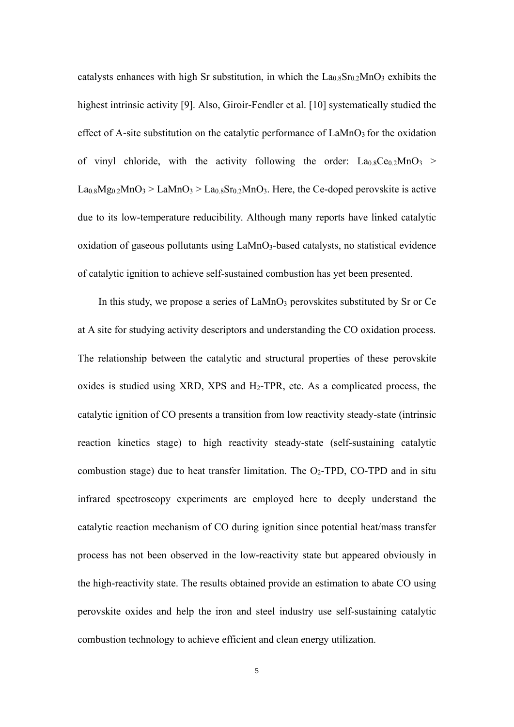catalysts enhances with high Sr substitution, in which the  $La<sub>0.8</sub>Sr<sub>0.2</sub>MnO<sub>3</sub>$  exhibits the highest intrinsic activity [9]. Also, Giroir-Fendler et al. [10] systematically studied the effect of A-site substitution on the catalytic performance of  $\text{LaMnO}_3$  for the oxidation of vinyl chloride, with the activity following the order:  $La<sub>0.8</sub>Ce<sub>0.2</sub>MnO<sub>3</sub>$  $\text{La}_{0.8}\text{Mg}_{0.2}\text{MnO}_3$  >  $\text{LaMnO}_3$  >  $\text{La}_{0.8}\text{Sr}_{0.2}\text{MnO}_3$ . Here, the Ce-doped perovskite is active due to its low-temperature reducibility. Although many reports have linked catalytic oxidation of gaseous pollutants using LaMnO<sub>3</sub>-based catalysts, no statistical evidence of catalytic ignition to achieve self-sustained combustion has yet been presented.

In this study, we propose a series of LaMnO<sub>3</sub> perovskites substituted by Sr or Ce at A site for studying activity descriptors and understanding the CO oxidation process. The relationship between the catalytic and structural properties of these perovskite oxides is studied using XRD, XPS and H2-TPR, etc. As a complicated process, the catalytic ignition of CO presents a transition from low reactivity steady-state (intrinsic reaction kinetics stage) to high reactivity steady-state (self-sustaining catalytic combustion stage) due to heat transfer limitation. The  $O<sub>2</sub>-TPD$ , CO-TPD and in situ infrared spectroscopy experiments are employed here to deeply understand the catalytic reaction mechanism of CO during ignition since potential heat/mass transfer process has not been observed in the low-reactivity state but appeared obviously in the high-reactivity state. The results obtained provide an estimation to abate CO using perovskite oxides and help the iron and steel industry use self-sustaining catalytic combustion technology to achieve efficient and clean energy utilization.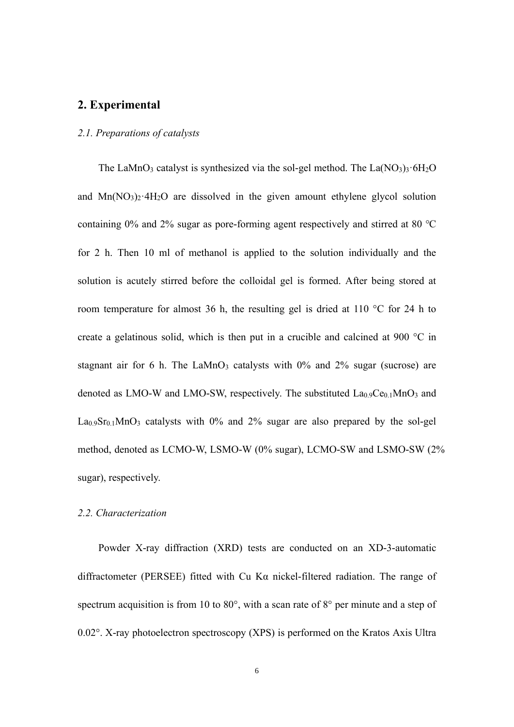# **2. Experimental**

#### *2.1. Preparations of catalysts*

The LaMnO<sub>3</sub> catalyst is synthesized via the sol-gel method. The La $(NO<sub>3</sub>)<sub>3</sub>·6H<sub>2</sub>O$ and  $Mn(NO_3)_2 \cdot 4H_2O$  are dissolved in the given amount ethylene glycol solution containing 0% and 2% sugar as pore-forming agent respectively and stirred at 80 ℃ for 2 h. Then 10 ml of methanol is applied to the solution individually and the solution is acutely stirred before the colloidal gel is formed. After being stored at room temperature for almost 36 h, the resulting gel is dried at 110 °C for 24 h to create a gelatinous solid, which is then put in a crucible and calcined at 900 °C in stagnant air for 6 h. The LaMnO<sub>3</sub> catalysts with  $0\%$  and  $2\%$  sugar (sucrose) are denoted as LMO-W and LMO-SW, respectively. The substituted  $La<sub>0.9</sub>Ce<sub>0.1</sub>MnO<sub>3</sub>$  and  $\text{La}_0$ ,  $\text{Sn}_0$ ,  $\text{MnO}_3$  catalysts with 0% and 2% sugar are also prepared by the sol-gel method, denoted as LCMO-W, LSMO-W (0% sugar), LCMO-SW and LSMO-SW (2% sugar), respectively.

#### *2.2. Characterization*

Powder X-ray diffraction (XRD) tests are conducted on an XD-3-automatic diffractometer (PERSEE) fitted with Cu Kα nickel-filtered radiation. The range of spectrum acquisition is from 10 to 80°, with a scan rate of 8° per minute and a step of 0.02°. X-ray photoelectron spectroscopy (XPS) is performed on the Kratos Axis Ultra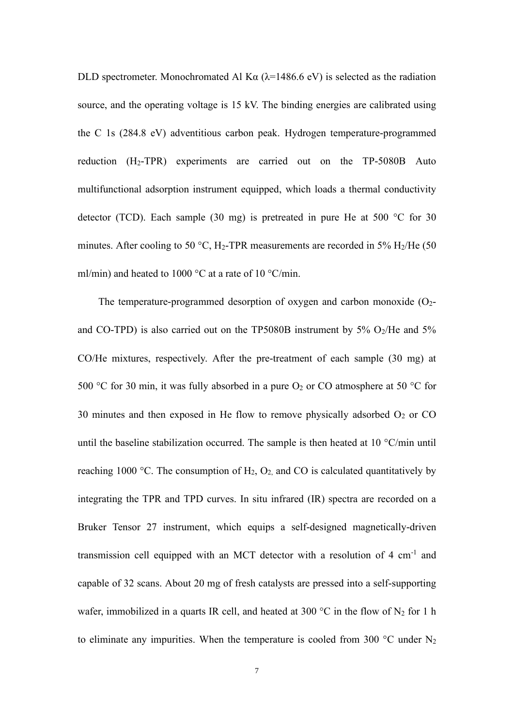DLD spectrometer. Monochromated Al K $\alpha$  ( $\lambda$ =1486.6 eV) is selected as the radiation source, and the operating voltage is 15 kV. The binding energies are calibrated using the C 1s (284.8 eV) adventitious carbon peak. Hydrogen temperature-programmed reduction  $(H_2-TPR)$  experiments are carried out on the TP-5080B Auto multifunctional adsorption instrument equipped, which loads a thermal conductivity detector (TCD). Each sample (30 mg) is pretreated in pure He at 500 °C for 30 minutes. After cooling to 50 °C, H<sub>2</sub>-TPR measurements are recorded in 5% H<sub>2</sub>/He (50) ml/min) and heated to 1000  $^{\circ}$ C at a rate of 10  $^{\circ}$ C/min.

The temperature-programmed desorption of oxygen and carbon monoxide  $(O<sub>2</sub>$ and CO-TPD) is also carried out on the TP5080B instrument by 5%  $O_2$ /He and 5% CO/He mixtures, respectively. After the pre-treatment of each sample (30 mg) at 500 °C for 30 min, it was fully absorbed in a pure  $O_2$  or CO atmosphere at 50 °C for 30 minutes and then exposed in He flow to remove physically adsorbed  $O<sub>2</sub>$  or CO until the baseline stabilization occurred. The sample is then heated at  $10^{\circ}$ C/min until reaching 1000 °C. The consumption of  $H_2$ ,  $O_2$ , and CO is calculated quantitatively by integrating the TPR and TPD curves. In situ infrared (IR) spectra are recorded on a Bruker Tensor 27 instrument, which equips a self-designed magnetically-driven transmission cell equipped with an MCT detector with a resolution of 4  $cm^{-1}$  and capable of 32 scans. About 20 mg of fresh catalysts are pressed into a self-supporting wafer, immobilized in a quarts IR cell, and heated at 300 °C in the flow of  $N_2$  for 1 h to eliminate any impurities. When the temperature is cooled from 300  $^{\circ}$ C under N<sub>2</sub>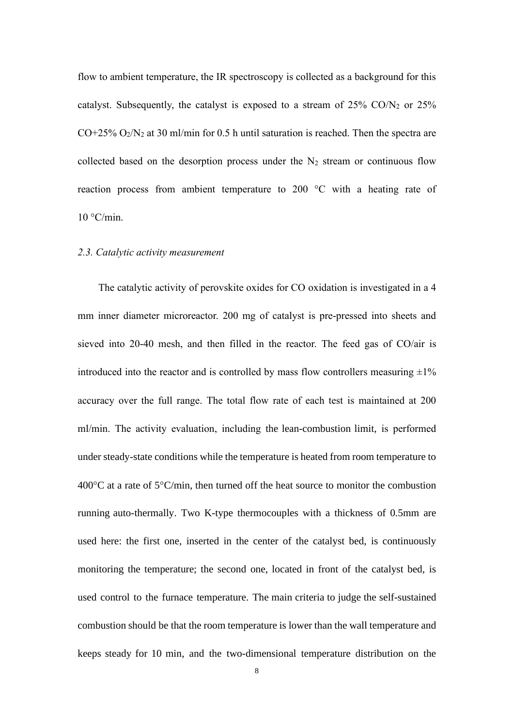flow to ambient temperature, the IR spectroscopy is collected as a background for this catalyst. Subsequently, the catalyst is exposed to a stream of  $25\%$  CO/N<sub>2</sub> or  $25\%$  $CO+25\%$   $O_2/N_2$  at 30 ml/min for 0.5 h until saturation is reached. Then the spectra are collected based on the desorption process under the  $N_2$  stream or continuous flow reaction process from ambient temperature to 200 °C with a heating rate of  $10 °C/min$ .

#### *2.3. Catalytic activity measurement*

The catalytic activity of perovskite oxides for CO oxidation is investigated in a 4 mm inner diameter microreactor. 200 mg of catalyst is pre-pressed into sheets and sieved into 20-40 mesh, and then filled in the reactor. The feed gas of CO/air is introduced into the reactor and is controlled by mass flow controllers measuring  $\pm 1\%$ accuracy over the full range. The total flow rate of each test is maintained at 200 ml/min. The activity evaluation, including the lean-combustion limit, is performed under steady-state conditions while the temperature is heated from room temperature to 400 $^{\circ}$ C at a rate of 5 $^{\circ}$ C/min, then turned off the heat source to monitor the combustion running auto-thermally. Two K-type thermocouples with a thickness of 0.5mm are used here: the first one, inserted in the center of the catalyst bed, is continuously monitoring the temperature; the second one, located in front of the catalyst bed, is used control to the furnace temperature. The main criteria to judge the self-sustained combustion should be that the room temperature is lower than the wall temperature and keeps steady for 10 min, and the two-dimensional temperature distribution on the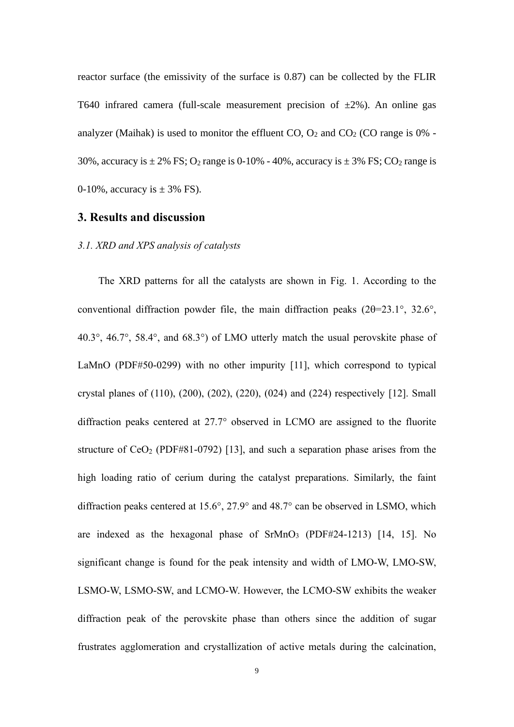reactor surface (the emissivity of the surface is 0.87) can be collected by the FLIR T640 infrared camera (full-scale measurement precision of  $\pm 2\%$ ). An online gas analyzer (Maihak) is used to monitor the effluent  $CO$ ,  $O_2$  and  $CO_2$  (CO range is 0% -30%, accuracy is  $\pm 2\%$  FS; O<sub>2</sub> range is 0-10% - 40%, accuracy is  $\pm 3\%$  FS; CO<sub>2</sub> range is 0-10%, accuracy is  $\pm$  3% FS).

### **3. Results and discussion**

#### *3.1. XRD and XPS analysis of catalysts*

The XRD patterns for all the catalysts are shown in Fig. 1. According to the conventional diffraction powder file, the main diffraction peaks  $(2\theta=23.1^{\circ}, 32.6^{\circ},$ 40.3°, 46.7°, 58.4°, and 68.3°) of LMO utterly match the usual perovskite phase of LaMnO (PDF#50-0299) with no other impurity [11], which correspond to typical crystal planes of (110), (200), (202), (220), (024) and (224) respectively [12]. Small diffraction peaks centered at 27.7 observed in LCMO are assigned to the fluorite structure of  $CeO<sub>2</sub>$  (PDF#81-0792) [13], and such a separation phase arises from the high loading ratio of cerium during the catalyst preparations. Similarly, the faint diffraction peaks centered at  $15.6^{\circ}$ ,  $27.9^{\circ}$  and  $48.7^{\circ}$  can be observed in LSMO, which are indexed as the hexagonal phase of SrMnO<sub>3</sub> (PDF#24-1213) [14, 15]. No significant change is found for the peak intensity and width of LMO-W, LMO-SW, LSMO-W, LSMO-SW, and LCMO-W. However, the LCMO-SW exhibits the weaker diffraction peak of the perovskite phase than others since the addition of sugar frustrates agglomeration and crystallization of active metals during the calcination,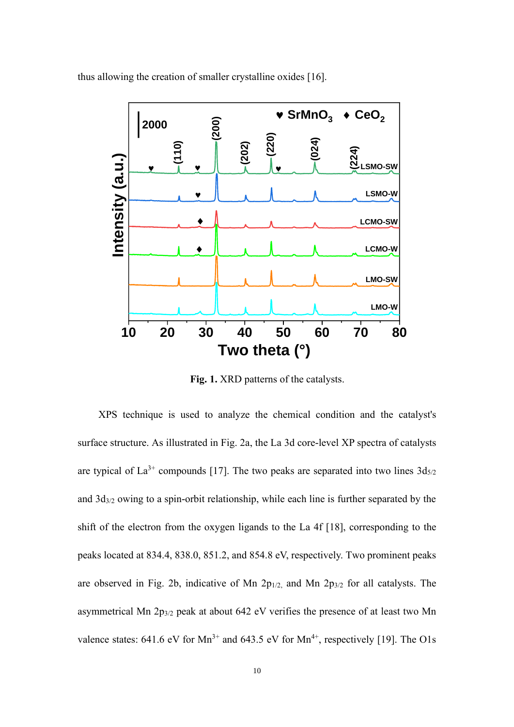

thus allowing the creation of smaller crystalline oxides [16].

**Fig. 1.** XRD patterns of the catalysts.

XPS technique is used to analyze the chemical condition and the catalyst's surface structure. As illustrated in Fig. 2a, the La 3d core-level XP spectra of catalysts are typical of  $La^{3+}$  compounds [17]. The two peaks are separated into two lines  $3d_{5/2}$ and 3d3/2 owing to a spin-orbit relationship, while each line is further separated by the shift of the electron from the oxygen ligands to the La 4f [18], corresponding to the peaks located at 834.4, 838.0, 851.2, and 854.8 eV, respectively. Two prominent peaks are observed in Fig. 2b, indicative of Mn  $2p_{1/2}$ , and Mn  $2p_{3/2}$  for all catalysts. The asymmetrical Mn 2p3/2 peak at about 642 eV verifies the presence of at least two Mn valence states:  $641.6 \text{ eV}$  for  $\text{Mn}^{3+}$  and  $643.5 \text{ eV}$  for  $\text{Mn}^{4+}$ , respectively [19]. The O1s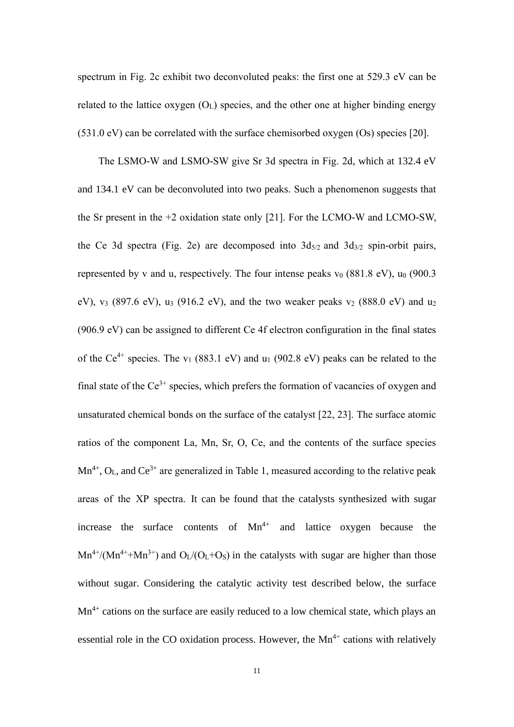spectrum in Fig. 2c exhibit two deconvoluted peaks: the first one at 529.3 eV can be related to the lattice oxygen  $(O<sub>L</sub>)$  species, and the other one at higher binding energy (531.0 eV) can be correlated with the surface chemisorbed oxygen (Os) species [20].

The LSMO-W and LSMO-SW give Sr 3d spectra in Fig. 2d, which at 132.4 eV and 134.1 eV can be deconvoluted into two peaks. Such a phenomenon suggests that the Sr present in the +2 oxidation state only [21]. For the LCMO-W and LCMO-SW, the Ce 3d spectra (Fig. 2e) are decomposed into  $3d_{5/2}$  and  $3d_{3/2}$  spin-orbit pairs, represented by v and u, respectively. The four intense peaks  $v_0$  (881.8 eV),  $u_0$  (900.3 eV), v<sub>3</sub> (897.6 eV), u<sub>3</sub> (916.2 eV), and the two weaker peaks v<sub>2</sub> (888.0 eV) and u<sub>2</sub> (906.9 eV) can be assigned to different Ce 4f electron configuration in the final states of the Ce<sup>4+</sup> species. The v<sub>1</sub> (883.1 eV) and u<sub>1</sub> (902.8 eV) peaks can be related to the final state of the  $Ce^{3+}$  species, which prefers the formation of vacancies of oxygen and unsaturated chemical bonds on the surface of the catalyst [22, 23]. The surface atomic ratios of the component La, Mn, Sr, O, Ce, and the contents of the surface species  $Mn^{4+}$ ,  $O<sub>L</sub>$ , and  $Ce<sup>3+</sup>$  are generalized in Table 1, measured according to the relative peak areas of the XP spectra. It can be found that the catalysts synthesized with sugar increase the surface contents of  $Mn^{4+}$  and lattice oxygen because the  $Mn^{4+}/(Mn^{4+}+Mn^{3+})$  and  $O<sub>L</sub>/(O<sub>L</sub>+O<sub>S</sub>)$  in the catalysts with sugar are higher than those without sugar. Considering the catalytic activity test described below, the surface  $Mn<sup>4+</sup>$  cations on the surface are easily reduced to a low chemical state, which plays an essential role in the CO oxidation process. However, the  $Mn^{4+}$  cations with relatively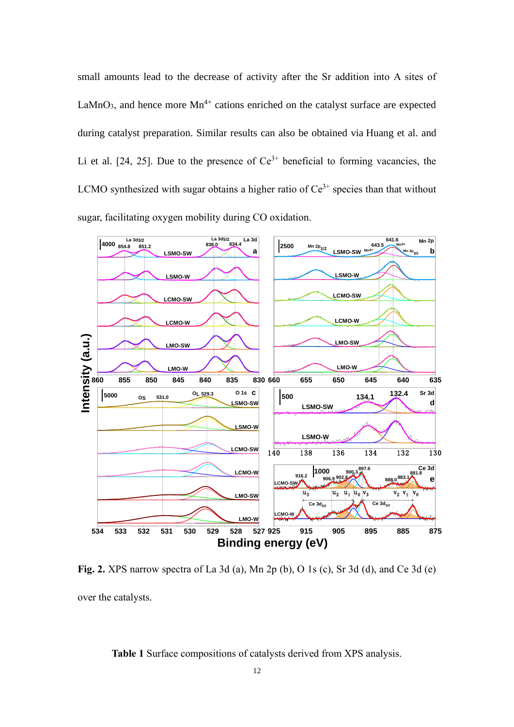small amounts lead to the decrease of activity after the Sr addition into A sites of LaMnO<sub>3</sub>, and hence more  $Mn^{4+}$  cations enriched on the catalyst surface are expected during catalyst preparation. Similar results can also be obtained via Huang et al. and Li et al. [24, 25]. Due to the presence of  $Ce^{3+}$  beneficial to forming vacancies, the LCMO synthesized with sugar obtains a higher ratio of  $Ce<sup>3+</sup>$  species than that without sugar, facilitating oxygen mobility during CO oxidation.



**Fig. 2.** XPS narrow spectra of La 3d (a), Mn 2p (b), O 1s (c), Sr 3d (d), and Ce 3d (e) over the catalysts.

**Table 1** Surface compositions of catalysts derived from XPS analysis.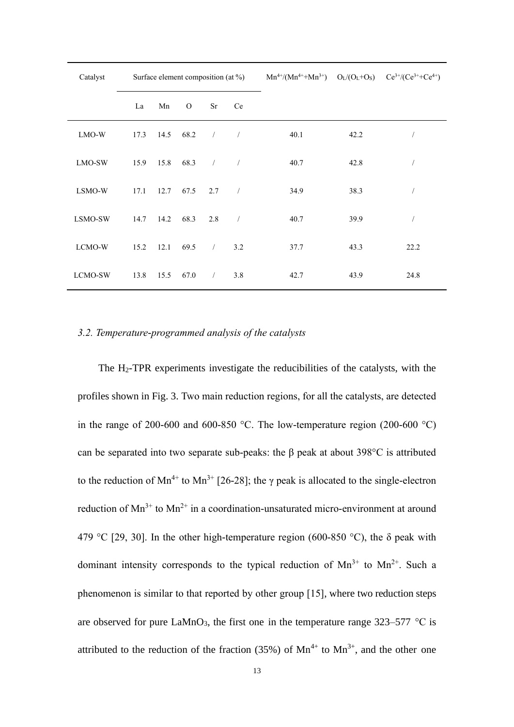| Catalyst |      |      | Surface element composition (at %) |               |                          | $Mn^{4+}/(Mn^{4+}+Mn^{3+})$ $O_L/(O_L+O_S)$ $Ce^{3+}/(Ce^{3+}+Ce^{4+})$ |      |                |
|----------|------|------|------------------------------------|---------------|--------------------------|-------------------------------------------------------------------------|------|----------------|
|          | La   | Mn   | $\mathbf{O}$                       | Sr            | Ce                       |                                                                         |      |                |
| LMO-W    | 17.3 | 14.5 | 68.2                               | $\frac{1}{2}$ | $\sqrt{ }$               | 40.1                                                                    | 42.2 | $\sqrt{2}$     |
| LMO-SW   | 15.9 | 15.8 | 68.3                               | $\frac{1}{2}$ | $\sqrt{2}$               | 40.7                                                                    | 42.8 |                |
| LSMO-W   | 17.1 | 12.7 | 67.5                               | 2.7           | $\overline{\phantom{a}}$ | 34.9                                                                    | 38.3 | $\overline{1}$ |
| LSMO-SW  | 14.7 | 14.2 | 68.3                               | 2.8           | $\overline{\phantom{a}}$ | 40.7                                                                    | 39.9 | $\sqrt{2}$     |
| LCMO-W   | 15.2 | 12.1 | 69.5                               | $\sqrt{2}$    | 3.2                      | 37.7                                                                    | 43.3 | 22.2           |
| LCMO-SW  | 13.8 | 15.5 | 67.0                               | $\sqrt{2}$    | 3.8                      | 42.7                                                                    | 43.9 | 24.8           |

#### *3.2. Temperature-programmed analysis of the catalysts*

The H2-TPR experiments investigate the reducibilities of the catalysts, with the profiles shown in Fig. 3. Two main reduction regions, for all the catalysts, are detected in the range of 200-600 and 600-850 °C. The low-temperature region (200-600 °C) can be separated into two separate sub-peaks: the β peak at about 398°C is attributed to the reduction of Mn<sup>4+</sup> to Mn<sup>3+</sup> [26-28]; the γ peak is allocated to the single-electron reduction of  $Mn^{3+}$  to  $Mn^{2+}$  in a coordination-unsaturated micro-environment at around 479 °C [29, 30]. In the other high-temperature region (600-850 °C), the  $\delta$  peak with dominant intensity corresponds to the typical reduction of  $Mn^{3+}$  to  $Mn^{2+}$ . Such a phenomenon is similar to that reported by other group [15], where two reduction steps are observed for pure LaMnO<sub>3</sub>, the first one in the temperature range  $323-577$  °C is attributed to the reduction of the fraction (35%) of  $Mn^{4+}$  to  $Mn^{3+}$ , and the other one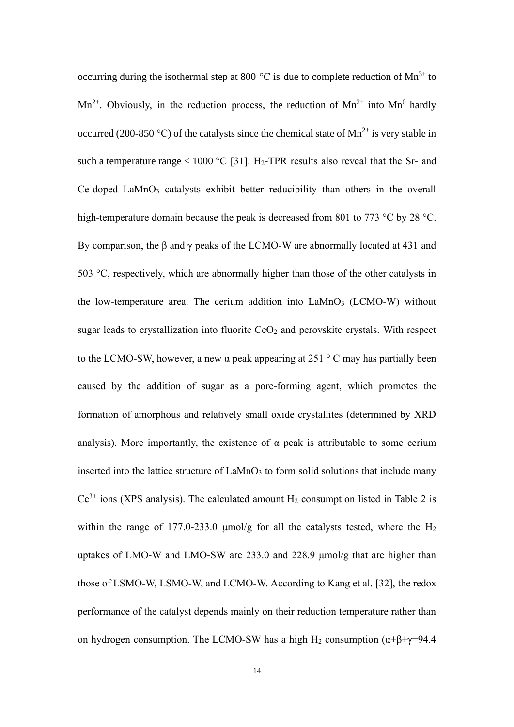occurring during the isothermal step at 800  $^{\circ}$ C is due to complete reduction of Mn<sup>3+</sup> to  $Mn^{2+}$ . Obviously, in the reduction process, the reduction of  $Mn^{2+}$  into  $Mn^{0}$  hardly occurred (200-850 °C) of the catalysts since the chemical state of  $Mn^{2+}$  is very stable in such a temperature range  $< 1000$  °C [31]. H<sub>2</sub>-TPR results also reveal that the Sr- and Ce-doped LaMnO<sub>3</sub> catalysts exhibit better reducibility than others in the overall high-temperature domain because the peak is decreased from 801 to 773 °C by 28 °C. By comparison, the β and γ peaks of the LCMO-W are abnormally located at 431 and 503 °C, respectively, which are abnormally higher than those of the other catalysts in the low-temperature area. The cerium addition into LaMnO<sub>3</sub> (LCMO-W) without sugar leads to crystallization into fluorite  $CeO<sub>2</sub>$  and perovskite crystals. With respect to the LCMO-SW, however, a new  $\alpha$  peak appearing at 251 °C may has partially been caused by the addition of sugar as a pore-forming agent, which promotes the formation of amorphous and relatively small oxide crystallites (determined by XRD analysis). More importantly, the existence of  $\alpha$  peak is attributable to some cerium inserted into the lattice structure of LaMnO<sub>3</sub> to form solid solutions that include many  $Ce^{3+}$  ions (XPS analysis). The calculated amount  $H_2$  consumption listed in Table 2 is within the range of 177.0-233.0  $\mu$ mol/g for all the catalysts tested, where the H<sub>2</sub> uptakes of LMO-W and LMO-SW are 233.0 and 228.9 μmol/g that are higher than those of LSMO-W, LSMO-W, and LCMO-W. According to Kang et al. [32], the redox performance of the catalyst depends mainly on their reduction temperature rather than on hydrogen consumption. The LCMO-SW has a high H<sub>2</sub> consumption ( $\alpha+\beta+\gamma=94.4$ )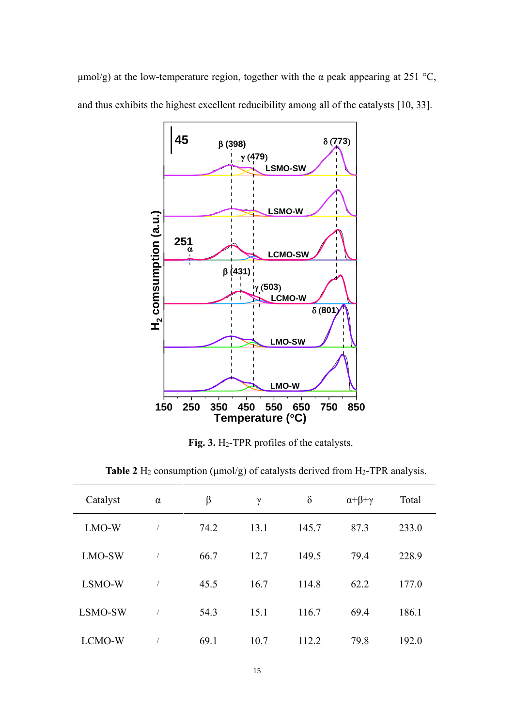μmol/g) at the low-temperature region, together with the α peak appearing at 251 °C, and thus exhibits the highest excellent reducibility among all of the catalysts [10, 33].



**Fig. 3.** H2-TPR profiles of the catalysts.

**Table 2** H<sub>2</sub> consumption ( $\mu$ mol/g) of catalysts derived from H<sub>2</sub>-TPR analysis.

| Catalyst | $\alpha$       | β    | $\gamma$ | $\delta$ | $\alpha+\beta+\gamma$ | Total |
|----------|----------------|------|----------|----------|-----------------------|-------|
| LMO-W    |                | 74.2 | 13.1     | 145.7    | 87.3                  | 233.0 |
| LMO-SW   | $\overline{1}$ | 66.7 | 12.7     | 149.5    | 79.4                  | 228.9 |
| LSMO-W   | $\sqrt{2}$     | 45.5 | 16.7     | 114.8    | 62.2                  | 177.0 |
| LSMO-SW  |                | 54.3 | 15.1     | 116.7    | 69.4                  | 186.1 |
| LCMO-W   | $\sqrt{2}$     | 69.1 | 10.7     | 112.2    | 79.8                  | 192.0 |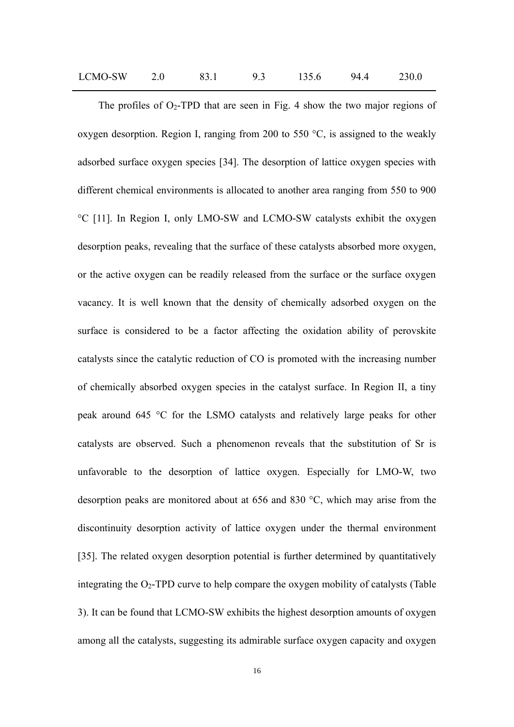| LCMO-SW |  |  |  | 135.6 | 94.4 | 230.0 |
|---------|--|--|--|-------|------|-------|
|---------|--|--|--|-------|------|-------|

The profiles of  $O_2$ -TPD that are seen in Fig. 4 show the two major regions of oxygen desorption. Region Ⅰ, ranging from 200 to 550 °C, is assigned to the weakly adsorbed surface oxygen species [34]. The desorption of lattice oxygen species with different chemical environments is allocated to another area ranging from 550 to 900 °C [11]. In Region Ⅰ, only LMO-SW and LCMO-SW catalysts exhibit the oxygen desorption peaks, revealing that the surface of these catalysts absorbed more oxygen, or the active oxygen can be readily released from the surface or the surface oxygen vacancy. It is well known that the density of chemically adsorbed oxygen on the surface is considered to be a factor affecting the oxidation ability of perovskite catalysts since the catalytic reduction of CO is promoted with the increasing number of chemically absorbed oxygen species in the catalyst surface. In Region II, a tiny peak around 645 °C for the LSMO catalysts and relatively large peaks for other catalysts are observed. Such a phenomenon reveals that the substitution of Sr is unfavorable to the desorption of lattice oxygen. Especially for LMO-W, two desorption peaks are monitored about at 656 and 830 °C, which may arise from the discontinuity desorption activity of lattice oxygen under the thermal environment [35]. The related oxygen desorption potential is further determined by quantitatively integrating the  $O_2$ -TPD curve to help compare the oxygen mobility of catalysts (Table 3). It can be found that LCMO-SW exhibits the highest desorption amounts of oxygen among all the catalysts, suggesting its admirable surface oxygen capacity and oxygen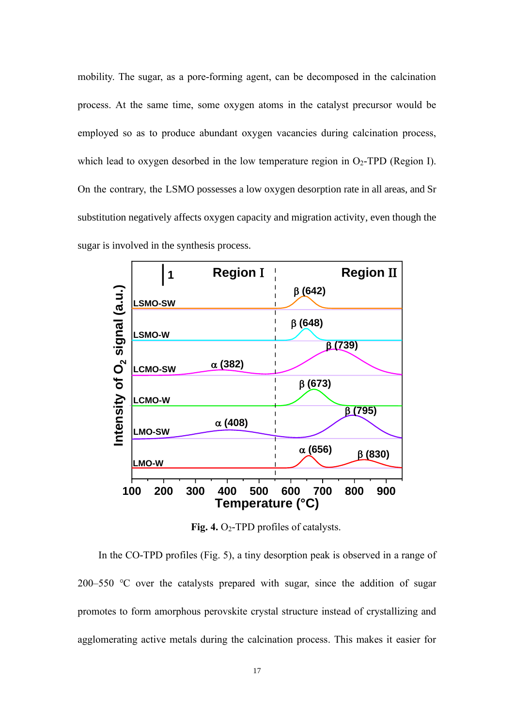mobility. The sugar, as a pore-forming agent, can be decomposed in the calcination process. At the same time, some oxygen atoms in the catalyst precursor would be employed so as to produce abundant oxygen vacancies during calcination process, which lead to oxygen desorbed in the low temperature region in  $O_2$ -TPD (Region I). On the contrary, the LSMO possesses a low oxygen desorption rate in all areas, and Sr substitution negatively affects oxygen capacity and migration activity, even though the sugar is involved in the synthesis process.



**Fig. 4.** O2-TPD profiles of catalysts.

In the CO-TPD profiles (Fig. 5), a tiny desorption peak is observed in a range of 200–550 ℃ over the catalysts prepared with sugar, since the addition of sugar promotes to form amorphous perovskite crystal structure instead of crystallizing and agglomerating active metals during the calcination process. This makes it easier for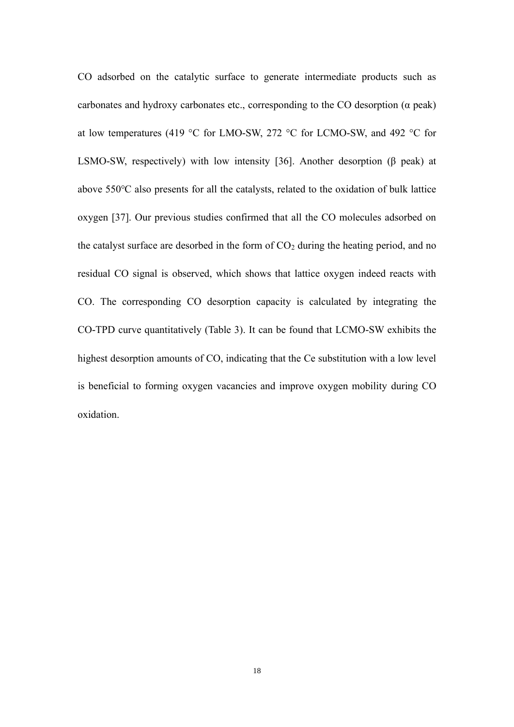CO adsorbed on the catalytic surface to generate intermediate products such as carbonates and hydroxy carbonates etc., corresponding to the CO desorption  $(\alpha$  peak) at low temperatures (419 °C for LMO-SW, 272 °C for LCMO-SW, and 492 °C for LSMO-SW, respectively) with low intensity [36]. Another desorption (β peak) at above 550℃ also presents for all the catalysts, related to the oxidation of bulk lattice oxygen [37]. Our previous studies confirmed that all the CO molecules adsorbed on the catalyst surface are desorbed in the form of  $CO<sub>2</sub>$  during the heating period, and no residual CO signal is observed, which shows that lattice oxygen indeed reacts with CO. The corresponding CO desorption capacity is calculated by integrating the CO-TPD curve quantitatively (Table 3). It can be found that LCMO-SW exhibits the highest desorption amounts of CO, indicating that the Ce substitution with a low level is beneficial to forming oxygen vacancies and improve oxygen mobility during CO oxidation.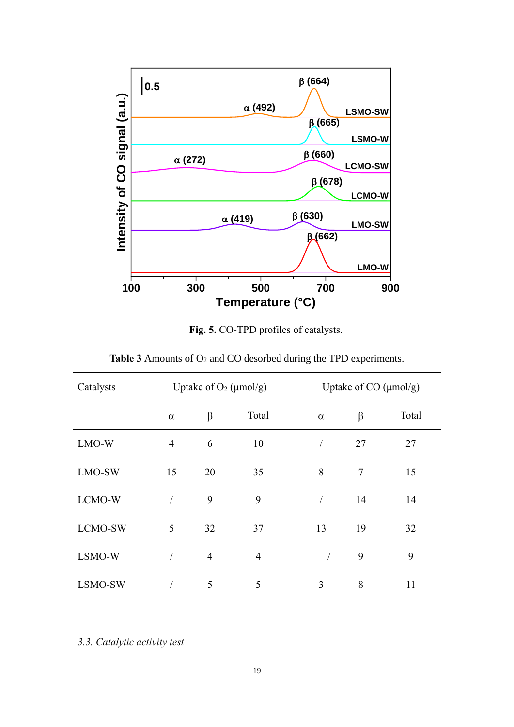

**Fig. 5.** CO-TPD profiles of catalysts.

| <b>Table 3</b> Amounts of $O_2$ and CO desorbed during the TPD experiments. |  |  |
|-----------------------------------------------------------------------------|--|--|
|-----------------------------------------------------------------------------|--|--|

| Catalysts | Uptake of $O_2$ ( $\mu$ mol/g) |                |                |            | Uptake of CO $(\mu mol/g)$ |       |  |
|-----------|--------------------------------|----------------|----------------|------------|----------------------------|-------|--|
|           | $\alpha$                       | $\beta$        | Total          | $\alpha$   | $\beta$                    | Total |  |
| LMO-W     | $\overline{4}$                 | 6              | 10             | $\sqrt{2}$ | 27                         | 27    |  |
| LMO-SW    | 15                             | 20             | 35             | 8          | $\tau$                     | 15    |  |
| LCMO-W    |                                | 9              | 9              | $\sqrt{2}$ | 14                         | 14    |  |
| LCMO-SW   | 5                              | 32             | 37             | 13         | 19                         | 32    |  |
| LSMO-W    |                                | $\overline{4}$ | $\overline{4}$ |            | 9                          | 9     |  |
| LSMO-SW   |                                | 5              | 5              | 3          | 8                          | 11    |  |

*3.3. Catalytic activity test*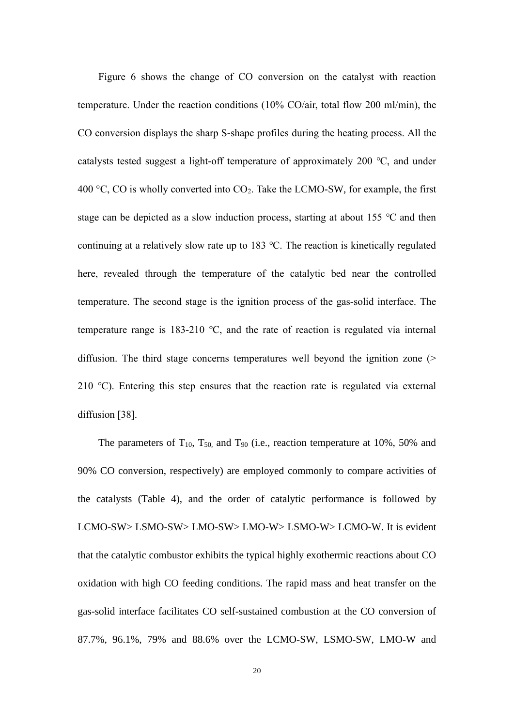Figure 6 shows the change of CO conversion on the catalyst with reaction temperature. Under the reaction conditions (10% CO/air, total flow 200 ml/min), the CO conversion displays the sharp S-shape profiles during the heating process. All the catalysts tested suggest a light-off temperature of approximately 200 ℃, and under 400 °C, CO is wholly converted into  $CO<sub>2</sub>$ . Take the LCMO-SW, for example, the first stage can be depicted as a slow induction process, starting at about 155 ℃ and then continuing at a relatively slow rate up to 183 ℃. The reaction is kinetically regulated here, revealed through the temperature of the catalytic bed near the controlled temperature. The second stage is the ignition process of the gas-solid interface. The temperature range is 183-210 ℃, and the rate of reaction is regulated via internal diffusion. The third stage concerns temperatures well beyond the ignition zone (> 210 ℃). Entering this step ensures that the reaction rate is regulated via external diffusion [38].

The parameters of  $T_{10}$ ,  $T_{50}$  and  $T_{90}$  (i.e., reaction temperature at 10%, 50% and 90% CO conversion, respectively) are employed commonly to compare activities of the catalysts (Table 4), and the order of catalytic performance is followed by LCMO-SW> LSMO-SW> LMO-SW> LMO-W> LSMO-W> LCMO-W. It is evident that the catalytic combustor exhibits the typical highly exothermic reactions about CO oxidation with high CO feeding conditions. The rapid mass and heat transfer on the gas-solid interface facilitates CO self-sustained combustion at the CO conversion of 87.7%, 96.1%, 79% and 88.6% over the LCMO-SW, LSMO-SW, LMO-W and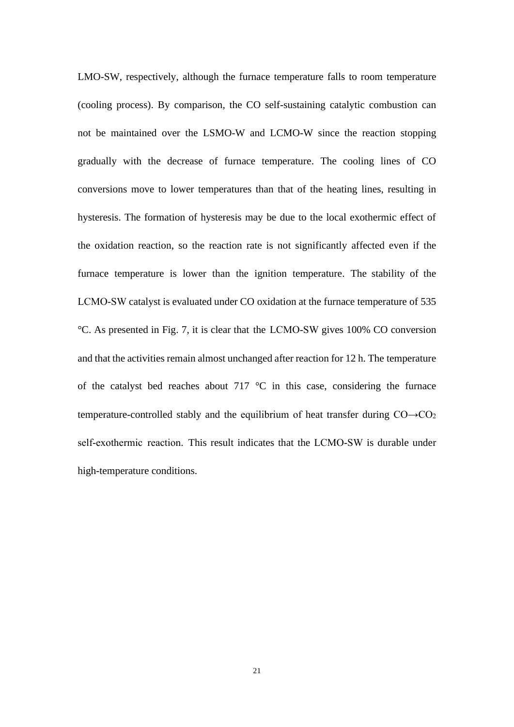LMO-SW, respectively, although the furnace temperature falls to room temperature (cooling process). By comparison, the CO self-sustaining catalytic combustion can not be maintained over the LSMO-W and LCMO-W since the reaction stopping gradually with the decrease of furnace temperature. The cooling lines of CO conversions move to lower temperatures than that of the heating lines, resulting in hysteresis. The formation of hysteresis may be due to the local exothermic effect of the oxidation reaction, so the reaction rate is not significantly affected even if the furnace temperature is lower than the ignition temperature. The stability of the LCMO-SW catalyst is evaluated under CO oxidation at the furnace temperature of 535 °C. As presented in Fig. 7, it is clear that the LCMO-SW gives 100% CO conversion and that the activities remain almost unchanged after reaction for 12 h. The temperature of the catalyst bed reaches about 717  $\degree$ C in this case, considering the furnace temperature-controlled stably and the equilibrium of heat transfer during  $CO \rightarrow CO_2$ self-exothermic reaction. This result indicates that the LCMO-SW is durable under high-temperature conditions.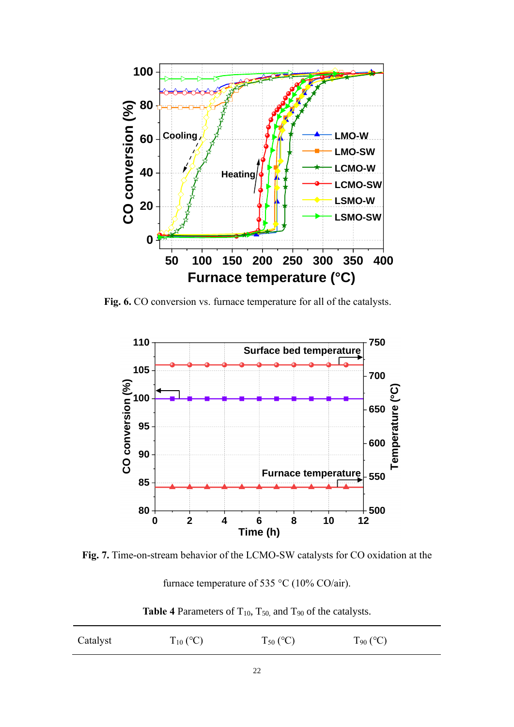

**Fig. 6.** CO conversion vs. furnace temperature for all of the catalysts.



**Fig. 7.** Time-on-stream behavior of the LCMO-SW catalysts for CO oxidation at the

furnace temperature of 535 °C (10% CO/air).

Table 4 Parameters of T<sub>10</sub>, T<sub>50</sub>, and T<sub>90</sub> of the catalysts.

| Catalyst | $T_{10}$ (°C) | $T_{50}$ (°C) | $T_{90}$ (°C) |
|----------|---------------|---------------|---------------|
|          |               |               |               |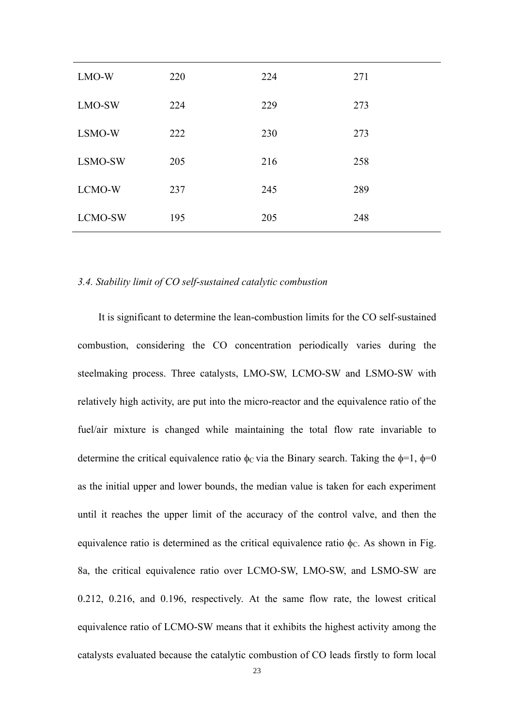| LMO-W   | 220 | 224 | 271 |
|---------|-----|-----|-----|
| LMO-SW  | 224 | 229 | 273 |
| LSMO-W  | 222 | 230 | 273 |
| LSMO-SW | 205 | 216 | 258 |
| LCMO-W  | 237 | 245 | 289 |
| LCMO-SW | 195 | 205 | 248 |

#### *3.4. Stability limit of CO self-sustained catalytic combustion*

It is significant to determine the lean-combustion limits for the CO self-sustained combustion, considering the CO concentration periodically varies during the steelmaking process. Three catalysts, LMO-SW, LCMO-SW and LSMO-SW with relatively high activity, are put into the micro-reactor and the equivalence ratio of the fuel/air mixture is changed while maintaining the total flow rate invariable to determine the critical equivalence ratio  $\phi_c$  via the Binary search. Taking the  $\phi=1$ ,  $\phi=0$ as the initial upper and lower bounds, the median value is taken for each experiment until it reaches the upper limit of the accuracy of the control valve, and then the equivalence ratio is determined as the critical equivalence ratio  $\phi_C$ . As shown in Fig. 8a, the critical equivalence ratio over LCMO-SW, LMO-SW, and LSMO-SW are 0.212, 0.216, and 0.196, respectively. At the same flow rate, the lowest critical equivalence ratio of LCMO-SW means that it exhibits the highest activity among the catalysts evaluated because the catalytic combustion of CO leads firstly to form local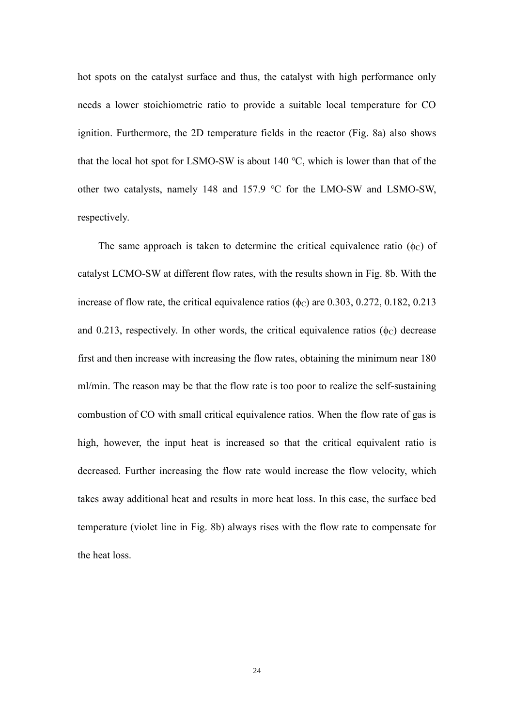hot spots on the catalyst surface and thus, the catalyst with high performance only needs a lower stoichiometric ratio to provide a suitable local temperature for CO ignition. Furthermore, the 2D temperature fields in the reactor (Fig. 8a) also shows that the local hot spot for LSMO-SW is about 140 ℃, which is lower than that of the other two catalysts, namely 148 and 157.9 ℃ for the LMO-SW and LSMO-SW, respectively.

The same approach is taken to determine the critical equivalence ratio ( $\phi$ ) of catalyst LCMO-SW at different flow rates, with the results shown in Fig. 8b. With the increase of flow rate, the critical equivalence ratios ( $\phi$ c) are 0.303, 0.272, 0.182, 0.213 and 0.213, respectively. In other words, the critical equivalence ratios  $(\phi_C)$  decrease first and then increase with increasing the flow rates, obtaining the minimum near 180 ml/min. The reason may be that the flow rate is too poor to realize the self-sustaining combustion of CO with small critical equivalence ratios. When the flow rate of gas is high, however, the input heat is increased so that the critical equivalent ratio is decreased. Further increasing the flow rate would increase the flow velocity, which takes away additional heat and results in more heat loss. In this case, the surface bed temperature (violet line in Fig. 8b) always rises with the flow rate to compensate for the heat loss.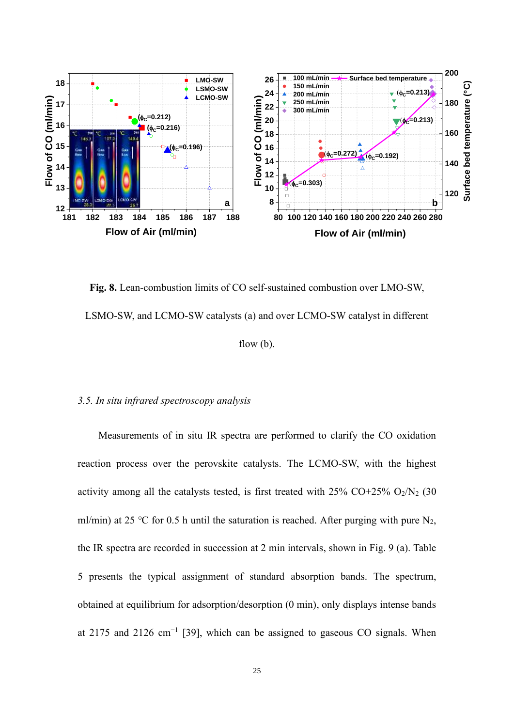

**Fig. 8.** Lean-combustion limits of CO self-sustained combustion over LMO-SW, LSMO-SW, and LCMO-SW catalysts (a) and over LCMO-SW catalyst in different flow (b).

#### *3.5. In situ infrared spectroscopy analysis*

Measurements of in situ IR spectra are performed to clarify the CO oxidation reaction process over the perovskite catalysts. The LCMO-SW, with the highest activity among all the catalysts tested, is first treated with  $25\%$  CO+25% O<sub>2</sub>/N<sub>2</sub> (30) ml/min) at 25 °C for 0.5 h until the saturation is reached. After purging with pure  $N_2$ , the IR spectra are recorded in succession at 2 min intervals, shown in Fig. 9 (a). Table 5 presents the typical assignment of standard absorption bands. The spectrum, obtained at equilibrium for adsorption/desorption (0 min), only displays intense bands at 2175 and 2126 cm<sup>-1</sup> [39], which can be assigned to gaseous CO signals. When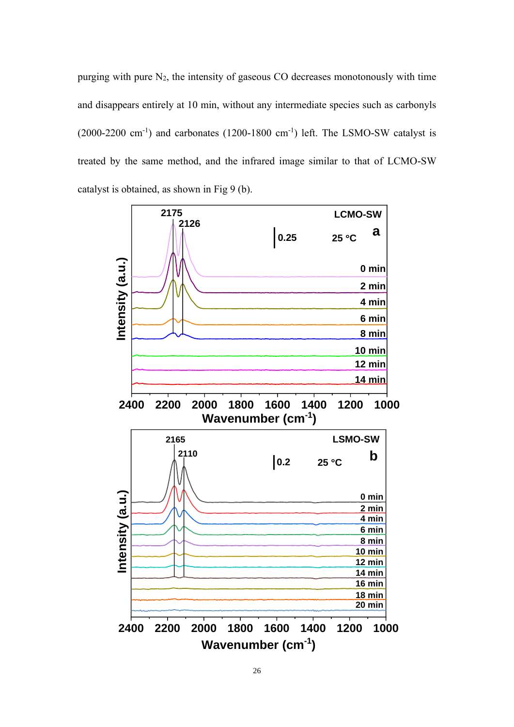purging with pure  $N_2$ , the intensity of gaseous CO decreases monotonously with time and disappears entirely at 10 min, without any intermediate species such as carbonyls  $(2000-2200 \text{ cm}^{-1})$  and carbonates  $(1200-1800 \text{ cm}^{-1})$  left. The LSMO-SW catalyst is treated by the same method, and the infrared image similar to that of LCMO-SW catalyst is obtained, as shown in Fig 9 (b).

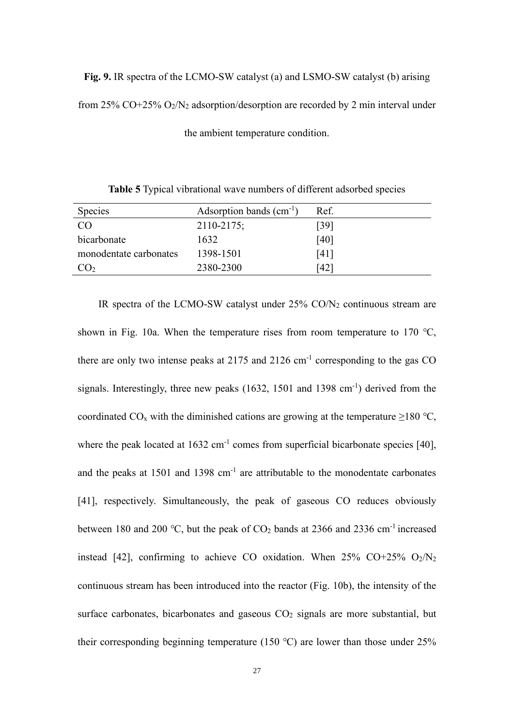**Fig. 9.** IR spectra of the LCMO-SW catalyst (a) and LSMO-SW catalyst (b) arising from 25% CO+25%  $O_2/N_2$  adsorption/desorption are recorded by 2 min interval under

| Species                | Adsorption bands $(cm^{-1})$ | Ref. |
|------------------------|------------------------------|------|
| <b>CO</b>              | 2110-2175;                   | [39] |
| bicarbonate            | 1632                         | [40] |
| monodentate carbonates | 1398-1501                    | [41] |
| CO <sub>2</sub>        | 2380-2300                    | [42] |

the ambient temperature condition.

**Table 5** Typical vibrational wave numbers of different adsorbed species

IR spectra of the LCMO-SW catalyst under  $25\%$  CO/N<sub>2</sub> continuous stream are shown in Fig. 10a. When the temperature rises from room temperature to 170 ℃, there are only two intense peaks at 2175 and 2126  $cm^{-1}$  corresponding to the gas CO signals. Interestingly, three new peaks  $(1632, 1501$  and  $1398$  cm<sup>-1</sup>) derived from the coordinated CO<sub>x</sub> with the diminished cations are growing at the temperature  $\geq$ 180 °C, where the peak located at  $1632 \text{ cm}^{-1}$  comes from superficial bicarbonate species [40], and the peaks at  $1501$  and  $1398$  cm<sup>-1</sup> are attributable to the monodentate carbonates [41], respectively. Simultaneously, the peak of gaseous CO reduces obviously between 180 and 200 °C, but the peak of  $CO<sub>2</sub>$  bands at 2366 and 2336 cm<sup>-1</sup> increased instead [42], confirming to achieve CO oxidation. When  $25\%$  CO+25% O<sub>2</sub>/N<sub>2</sub> continuous stream has been introduced into the reactor (Fig. 10b), the intensity of the surface carbonates, bicarbonates and gaseous  $CO<sub>2</sub>$  signals are more substantial, but their corresponding beginning temperature (150 ℃) are lower than those under 25%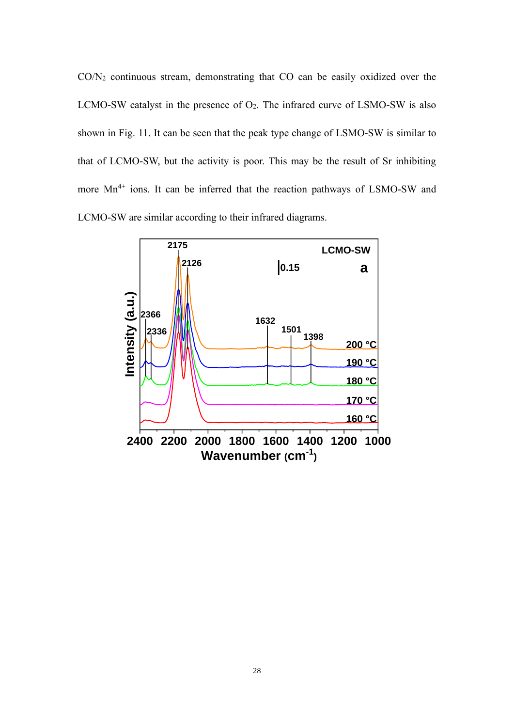$CO/N<sub>2</sub>$  continuous stream, demonstrating that  $CO$  can be easily oxidized over the LCMO-SW catalyst in the presence of  $O_2$ . The infrared curve of LSMO-SW is also shown in Fig. 11. It can be seen that the peak type change of LSMO-SW is similar to that of LCMO-SW, but the activity is poor. This may be the result of Sr inhibiting more  $Mn^{4+}$  ions. It can be inferred that the reaction pathways of LSMO-SW and LCMO-SW are similar according to their infrared diagrams.

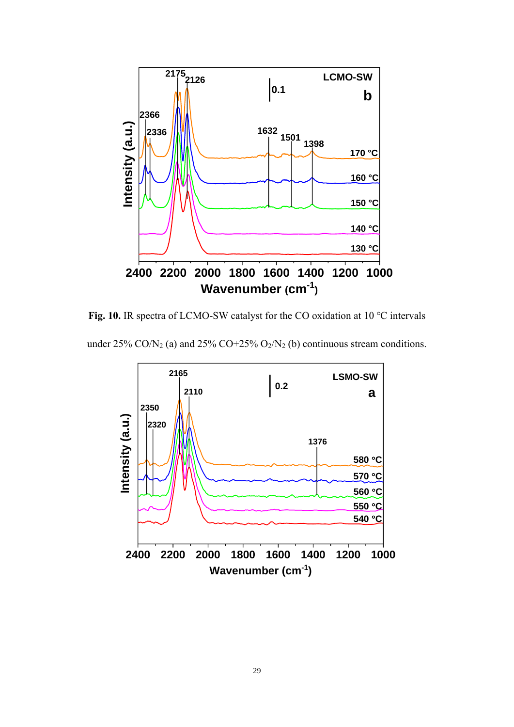

**Fig. 10.** IR spectra of LCMO-SW catalyst for the CO oxidation at 10 ℃ intervals

under  $25\%$  CO/N<sub>2</sub> (a) and  $25\%$  CO+25% O<sub>2</sub>/N<sub>2</sub> (b) continuous stream conditions.

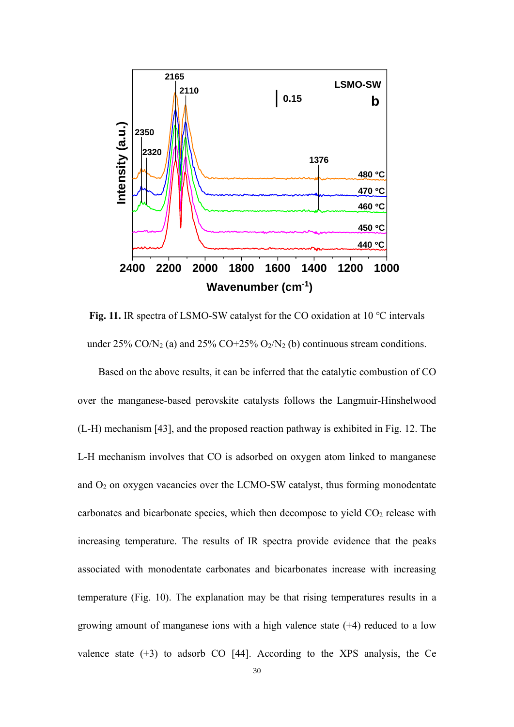

**Fig. 11.** IR spectra of LSMO-SW catalyst for the CO oxidation at 10 ℃ intervals under  $25\%$  CO/N<sub>2</sub> (a) and  $25\%$  CO+25% O<sub>2</sub>/N<sub>2</sub> (b) continuous stream conditions.

Based on the above results, it can be inferred that the catalytic combustion of CO over the manganese-based perovskite catalysts follows the Langmuir-Hinshelwood (L-H) mechanism [43], and the proposed reaction pathway is exhibited in Fig. 12. The L-H mechanism involves that CO is adsorbed on oxygen atom linked to manganese and O<sup>2</sup> on oxygen vacancies over the LCMO-SW catalyst, thus forming monodentate carbonates and bicarbonate species, which then decompose to yield  $CO<sub>2</sub>$  release with increasing temperature. The results of IR spectra provide evidence that the peaks associated with monodentate carbonates and bicarbonates increase with increasing temperature (Fig. 10). The explanation may be that rising temperatures results in a growing amount of manganese ions with a high valence state (+4) reduced to a low valence state  $(+3)$  to adsorb CO [44]. According to the XPS analysis, the Ce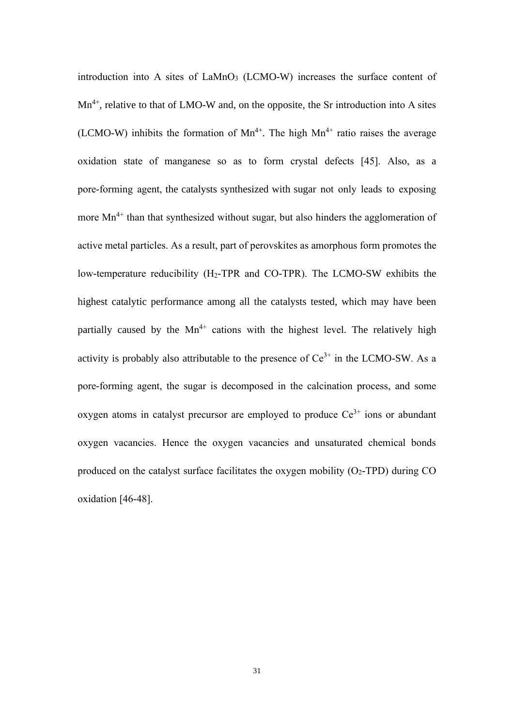introduction into A sites of  $LaMnO<sub>3</sub>$  (LCMO-W) increases the surface content of  $Mn^{4+}$ , relative to that of LMO-W and, on the opposite, the Sr introduction into A sites (LCMO-W) inhibits the formation of  $Mn^{4+}$ . The high  $Mn^{4+}$  ratio raises the average oxidation state of manganese so as to form crystal defects [45]. Also, as a pore-forming agent, the catalysts synthesized with sugar not only leads to exposing more  $Mn^{4+}$  than that synthesized without sugar, but also hinders the agglomeration of active metal particles. As a result, part of perovskites as amorphous form promotes the low-temperature reducibility (H<sub>2</sub>-TPR and CO-TPR). The LCMO-SW exhibits the highest catalytic performance among all the catalysts tested, which may have been partially caused by the  $Mn^{4+}$  cations with the highest level. The relatively high activity is probably also attributable to the presence of  $Ce^{3+}$  in the LCMO-SW. As a pore-forming agent, the sugar is decomposed in the calcination process, and some oxygen atoms in catalyst precursor are employed to produce  $Ce^{3+}$  ions or abundant oxygen vacancies. Hence the oxygen vacancies and unsaturated chemical bonds produced on the catalyst surface facilitates the oxygen mobility  $(O_2$ -TPD) during CO oxidation [46-48].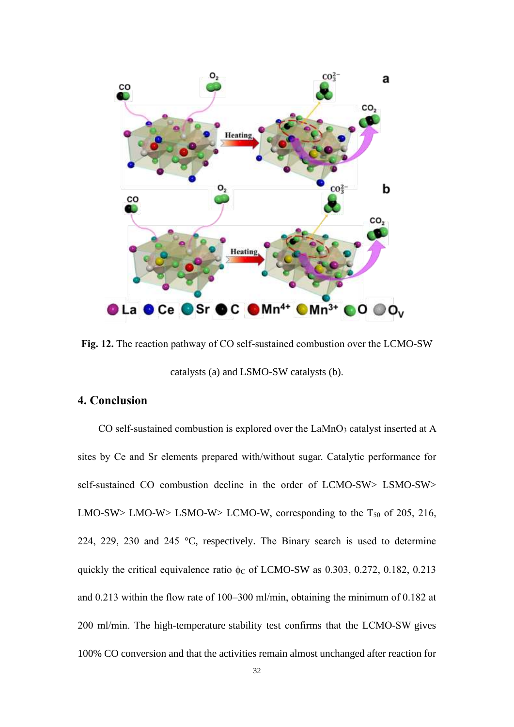

**Fig. 12.** The reaction pathway of CO self-sustained combustion over the LCMO-SW catalysts (a) and LSMO-SW catalysts (b).

# **4. Conclusion**

CO self-sustained combustion is explored over the  $LaMnO<sub>3</sub>$  catalyst inserted at A sites by Ce and Sr elements prepared with/without sugar. Catalytic performance for self-sustained CO combustion decline in the order of LCMO-SW> LSMO-SW> LMO-SW> LMO-W> LSMO-W> LCMO-W, corresponding to the  $T_{50}$  of 205, 216, 224, 229, 230 and 245 °C, respectively. The Binary search is used to determine quickly the critical equivalence ratio  $\phi$ c of LCMO-SW as 0.303, 0.272, 0.182, 0.213 and 0.213 within the flow rate of 100–300 ml/min, obtaining the minimum of 0.182 at 200 ml/min. The high-temperature stability test confirms that the LCMO-SW gives 100% CO conversion and that the activities remain almost unchanged after reaction for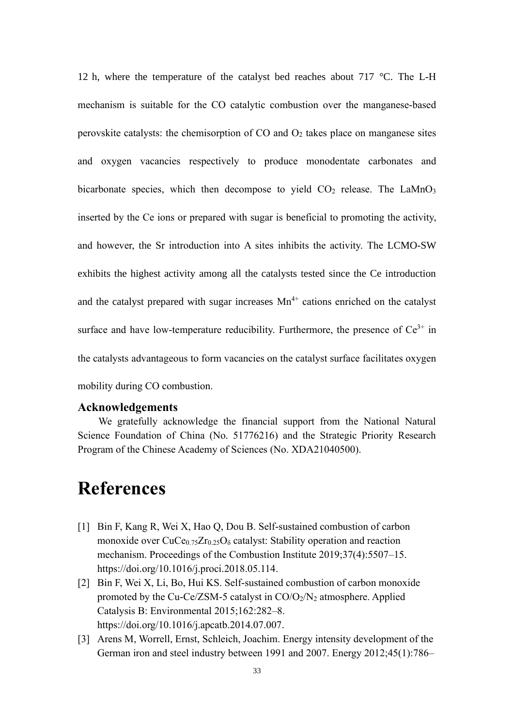12 h, where the temperature of the catalyst bed reaches about 717 °C. The L-H mechanism is suitable for the CO catalytic combustion over the manganese-based perovskite catalysts: the chemisorption of  $CO$  and  $O<sub>2</sub>$  takes place on manganese sites and oxygen vacancies respectively to produce monodentate carbonates and bicarbonate species, which then decompose to yield  $CO<sub>2</sub>$  release. The LaMnO<sub>3</sub> inserted by the Ce ions or prepared with sugar is beneficial to promoting the activity, and however, the Sr introduction into A sites inhibits the activity. The LCMO-SW exhibits the highest activity among all the catalysts tested since the Ce introduction and the catalyst prepared with sugar increases  $Mn^{4+}$  cations enriched on the catalyst surface and have low-temperature reducibility. Furthermore, the presence of  $Ce^{3+}$  in the catalysts advantageous to form vacancies on the catalyst surface facilitates oxygen mobility during CO combustion.

#### **Acknowledgements**

We gratefully acknowledge the financial support from the National Natural Science Foundation of China (No. 51776216) and the Strategic Priority Research Program of the Chinese Academy of Sciences (No. XDA21040500).

# **References**

- [1] Bin F, Kang R, Wei X, Hao Q, Dou B. Self-sustained combustion of carbon monoxide over  $CuCe<sub>0.75</sub>Zr<sub>0.25</sub>O<sub>δ</sub>$  catalyst: Stability operation and reaction mechanism. Proceedings of the Combustion Institute 2019;37(4):5507–15. [https://doi.org/10.1016/j.proci.2018.05.114.](https://doi.org/10.1016/j.proci.2018.05.114)
- [2] Bin F, Wei X, Li, Bo, Hui KS. Self-sustained combustion of carbon monoxide promoted by the Cu-Ce/ZSM-5 catalyst in CO/O2/N<sup>2</sup> atmosphere. Applied Catalysis B: Environmental 2015;162:282–8. [https://doi.org/10.1016/j.apcatb.2014.07.007.](https://doi.org/10.1016/j.apcatb.2014.07.007)
- [3] Arens M, Worrell, Ernst, Schleich, Joachim. Energy intensity development of the German iron and steel industry between 1991 and 2007. Energy 2012;45(1):786–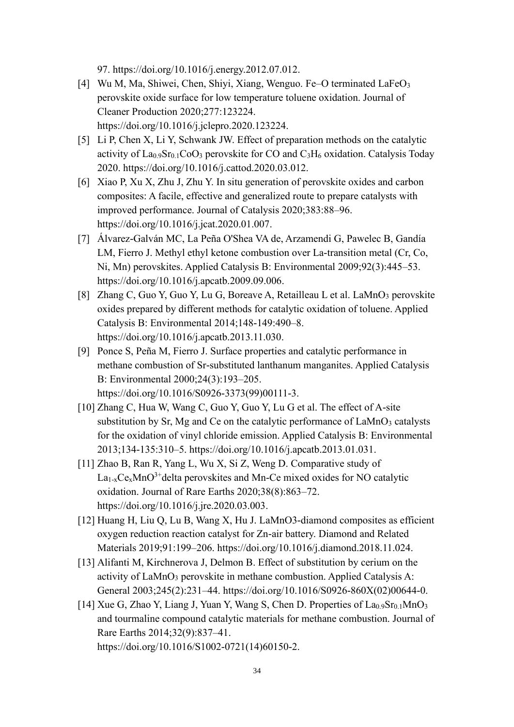97. [https://doi.org/10.1016/j.energy.2012.07.012.](https://doi.org/10.1016/j.energy.2012.07.012)

- [4] Wu M, Ma, Shiwei, Chen, Shiyi, Xiang, Wenguo. Fe–O terminated LaFeO<sub>3</sub> perovskite oxide surface for low temperature toluene oxidation. Journal of Cleaner Production 2020;277:123224. [https://doi.org/10.1016/j.jclepro.2020.123224.](https://doi.org/10.1016/j.jclepro.2020.123224)
- [5] Li P, Chen X, Li Y, Schwank JW. Effect of preparation methods on the catalytic activity of  $\text{La}_{0.9}\text{Sr}_{0.1}\text{CoO}_3$  perovskite for CO and  $\text{C}_3\text{H}_6$  oxidation. Catalysis Today 2020. https://doi.org/10.1016/j.cattod.2020.03.012.
- [6] Xiao P, Xu X, Zhu J, Zhu Y. In situ generation of perovskite oxides and carbon composites: A facile, effective and generalized route to prepare catalysts with improved performance. Journal of Catalysis 2020;383:88–96. [https://doi.org/10.1016/j.jcat.2020.01.007.](https://doi.org/10.1016/j.jcat.2020.01.007)
- [7] Álvarez-Galván MC, La Peña O'Shea VA de, Arzamendi G, Pawelec B, Gandía LM, Fierro J. Methyl ethyl ketone combustion over La-transition metal (Cr, Co, Ni, Mn) perovskites. Applied Catalysis B: Environmental 2009;92(3):445–53. [https://doi.org/10.1016/j.apcatb.2009.09.006.](https://doi.org/10.1016/j.apcatb.2009.09.006)
- [8] Zhang C, Guo Y, Guo Y, Lu G, Boreave A, Retailleau L et al. LaMnO<sub>3</sub> perovskite oxides prepared by different methods for catalytic oxidation of toluene. Applied Catalysis B: Environmental 2014;148-149:490–8. [https://doi.org/10.1016/j.apcatb.2013.11.030.](https://doi.org/10.1016/j.apcatb.2013.11.030)
- [9] Ponce S, Peña M, Fierro J. Surface properties and catalytic performance in methane combustion of Sr-substituted lanthanum manganites. Applied Catalysis B: Environmental 2000;24(3):193–205. [https://doi.org/10.1016/S0926-3373\(99\)00111-3.](https://doi.org/10.1016/S0926-3373(99)00111-3)
- [10] Zhang C, Hua W, Wang C, Guo Y, Guo Y, Lu G et al. The effect of A-site substitution by Sr, Mg and Ce on the catalytic performance of LaMnO<sub>3</sub> catalysts for the oxidation of vinyl chloride emission. Applied Catalysis B: Environmental 2013;134-135:310–5. [https://doi.org/10.1016/j.apcatb.2013.01.031.](https://doi.org/10.1016/j.apcatb.2013.01.031)
- [11] Zhao B, Ran R, Yang L, Wu X, Si Z, Weng D. Comparative study of  $La<sub>1-x</sub>Ce<sub>x</sub>MnO<sup>3+</sup> delta perovskites and Mn-Ce mixed oxides for NO catalytic$ oxidation. Journal of Rare Earths 2020;38(8):863–72. [https://doi.org/10.1016/j.jre.2020.03.003.](https://doi.org/10.1016/j.jre.2020.03.003)
- [12] Huang H, Liu Q, Lu B, Wang X, Hu J. LaMnO3-diamond composites as efficient oxygen reduction reaction catalyst for Zn-air battery. Diamond and Related Materials 2019;91:199–206. [https://doi.org/10.1016/j.diamond.2018.11.024.](https://doi.org/10.1016/j.diamond.2018.11.024)
- [13] Alifanti M, Kirchnerova J, Delmon B. Effect of substitution by cerium on the activity of LaMnO<sub>3</sub> perovskite in methane combustion. Applied Catalysis A: General 2003;245(2):231–44. [https://doi.org/10.1016/S0926-860X\(02\)00644-0.](https://doi.org/10.1016/S0926-860X(02)00644-0)
- [14] Xue G, Zhao Y, Liang J, Yuan Y, Wang S, Chen D. Properties of  $La<sub>0.9</sub>Sr<sub>0.1</sub>MnO<sub>3</sub>$ and tourmaline compound catalytic materials for methane combustion. Journal of Rare Earths 2014;32(9):837–41. [https://doi.org/10.1016/S1002-0721\(14\)60150-2.](https://doi.org/10.1016/S1002-0721(14)60150-2)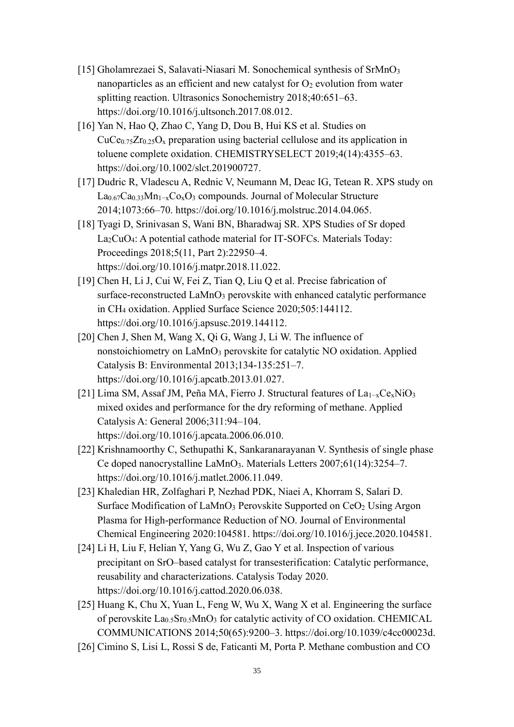- [15] Gholamrezaei S, Salavati-Niasari M. Sonochemical synthesis of SrMnO<sub>3</sub> nanoparticles as an efficient and new catalyst for  $O_2$  evolution from water splitting reaction. Ultrasonics Sonochemistry 2018;40:651–63. [https://doi.org/10.1016/j.ultsonch.2017.08.012.](https://doi.org/10.1016/j.ultsonch.2017.08.012)
- [16] Yan N, Hao Q, Zhao C, Yang D, Dou B, Hui KS et al. Studies on  $CuCe<sub>0.75</sub>Zr<sub>0.25</sub>O<sub>x</sub>$  preparation using bacterial cellulose and its application in toluene complete oxidation. CHEMISTRYSELECT 2019;4(14):4355–63. [https://doi.org/10.1002/slct.201900727.](https://doi.org/10.1002/slct.201900727)
- [17] Dudric R, Vladescu A, Rednic V, Neumann M, Deac IG, Tetean R. XPS study on La0.67Ca0.33Mn1−xCoxO<sup>3</sup> compounds. Journal of Molecular Structure 2014;1073:66–70. [https://doi.org/10.1016/j.molstruc.2014.04.065.](https://doi.org/10.1016/j.molstruc.2014.04.065)
- [18] Tyagi D, Srinivasan S, Wani BN, Bharadwaj SR. XPS Studies of Sr doped La2CuO4: A potential cathode material for IT-SOFCs. Materials Today: Proceedings 2018;5(11, Part 2):22950–4. [https://doi.org/10.1016/j.matpr.2018.11.022.](https://doi.org/10.1016/j.matpr.2018.11.022)
- [19] Chen H, Li J, Cui W, Fei Z, Tian Q, Liu Q et al. Precise fabrication of surface-reconstructed LaMnO<sub>3</sub> perovskite with enhanced catalytic performance in CH<sup>4</sup> oxidation. Applied Surface Science 2020;505:144112. [https://doi.org/10.1016/j.apsusc.2019.144112.](https://doi.org/10.1016/j.apsusc.2019.144112)
- [20] Chen J, Shen M, Wang X, Qi G, Wang J, Li W. The influence of nonstoichiometry on LaMnO<sub>3</sub> perovskite for catalytic NO oxidation. Applied Catalysis B: Environmental 2013;134-135:251–7. [https://doi.org/10.1016/j.apcatb.2013.01.027.](https://doi.org/10.1016/j.apcatb.2013.01.027)
- [21] Lima SM, Assaf JM, Peña MA, Fierro J. Structural features of La1−xCexNiO<sup>3</sup> mixed oxides and performance for the dry reforming of methane. Applied Catalysis A: General 2006;311:94–104. [https://doi.org/10.1016/j.apcata.2006.06.010.](https://doi.org/10.1016/j.apcata.2006.06.010)
- [22] Krishnamoorthy C, Sethupathi K, Sankaranarayanan V. Synthesis of single phase Ce doped nanocrystalline LaMnO3. Materials Letters 2007;61(14):3254–7. [https://doi.org/10.1016/j.matlet.2006.11.049.](https://doi.org/10.1016/j.matlet.2006.11.049)
- [23] Khaledian HR, Zolfaghari P, Nezhad PDK, Niaei A, Khorram S, Salari D. Surface Modification of LaMnO<sub>3</sub> Perovskite Supported on CeO<sub>2</sub> Using Argon Plasma for High-performance Reduction of NO. Journal of Environmental Chemical Engineering 2020:104581. [https://doi.org/10.1016/j.jece.2020.104581.](https://doi.org/10.1016/j.jece.2020.104581)
- [24] Li H, Liu F, Helian Y, Yang G, Wu Z, Gao Y et al. Inspection of various precipitant on SrO–based catalyst for transesterification: Catalytic performance, reusability and characterizations. Catalysis Today 2020. [https://doi.org/10.1016/j.cattod.2020.06.038.](https://doi.org/10.1016/j.cattod.2020.06.038)
- [25] Huang K, Chu X, Yuan L, Feng W, Wu X, Wang X et al. Engineering the surface of perovskite  $La<sub>0.5</sub>Sr<sub>0.5</sub>MnO<sub>3</sub>$  for catalytic activity of CO oxidation. CHEMICAL COMMUNICATIONS 2014;50(65):9200–3. [https://doi.org/10.1039/c4cc00023d.](https://doi.org/10.1039/c4cc00023d)
- [26] Cimino S, Lisi L, Rossi S de, Faticanti M, Porta P. Methane combustion and CO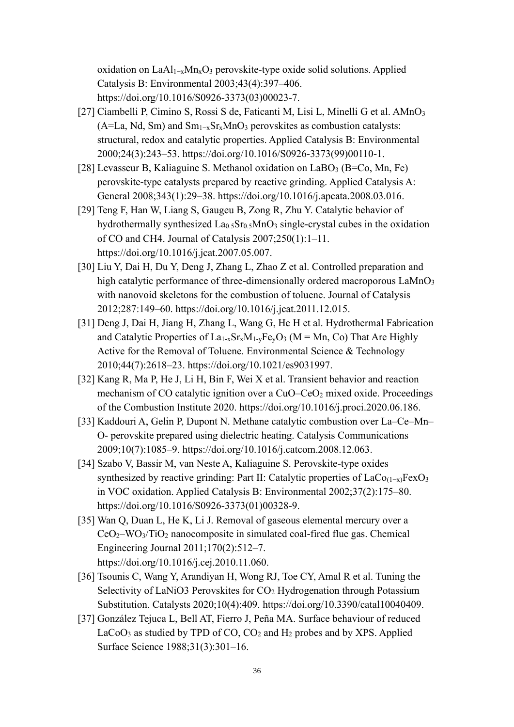oxidation on LaAl1−xMnxO<sup>3</sup> perovskite-type oxide solid solutions. Applied Catalysis B: Environmental 2003;43(4):397–406. [https://doi.org/10.1016/S0926-3373\(03\)00023-7.](https://doi.org/10.1016/S0926-3373(03)00023-7)

- [27] Ciambelli P, Cimino S, Rossi S de, Faticanti M, Lisi L, Minelli G et al. AMnO<sup>3</sup> (A=La, Nd, Sm) and  $Sm_{1-x}Sr_xMnO_3$  perovskites as combustion catalysts: structural, redox and catalytic properties. Applied Catalysis B: Environmental 2000;24(3):243–53. [https://doi.org/10.1016/S0926-3373\(99\)00110-1.](https://doi.org/10.1016/S0926-3373(99)00110-1)
- [28] Levasseur B, Kaliaguine S. Methanol oxidation on  $LaBO<sub>3</sub>$  (B=Co, Mn, Fe) perovskite-type catalysts prepared by reactive grinding. Applied Catalysis A: General 2008;343(1):29–38. [https://doi.org/10.1016/j.apcata.2008.03.016.](https://doi.org/10.1016/j.apcata.2008.03.016)
- [29] Teng F, Han W, Liang S, Gaugeu B, Zong R, Zhu Y. Catalytic behavior of hydrothermally synthesized  $La<sub>0.5</sub>Sr<sub>0.5</sub>MnO<sub>3</sub> single-crystal cubes in the oxidation$ of CO and CH4. Journal of Catalysis 2007;250(1):1–11. [https://doi.org/10.1016/j.jcat.2007.05.007.](https://doi.org/10.1016/j.jcat.2007.05.007)
- [30] Liu Y, Dai H, Du Y, Deng J, Zhang L, Zhao Z et al. Controlled preparation and high catalytic performance of three-dimensionally ordered macroporous LaMnO<sub>3</sub> with nanovoid skeletons for the combustion of toluene. Journal of Catalysis 2012;287:149–60. [https://doi.org/10.1016/j.jcat.2011.12.015.](https://doi.org/10.1016/j.jcat.2011.12.015)
- [31] Deng J, Dai H, Jiang H, Zhang L, Wang G, He H et al. Hydrothermal Fabrication and Catalytic Properties of  $La_{1-x}Sr_xM_{1-y}Fe_yO_3$  (M = Mn, Co) That Are Highly Active for the Removal of Toluene. Environmental Science & Technology 2010;44(7):2618–23. [https://doi.org/10.1021/es9031997.](https://doi.org/10.1021/es9031997)
- [32] Kang R, Ma P, He J, Li H, Bin F, Wei X et al. Transient behavior and reaction mechanism of CO catalytic ignition over a CuO–CeO<sub>2</sub> mixed oxide. Proceedings of the Combustion Institute 2020. [https://doi.org/10.1016/j.proci.2020.06.186.](https://doi.org/10.1016/j.proci.2020.06.186)
- [33] Kaddouri A, Gelin P, Dupont N. Methane catalytic combustion over La–Ce–Mn– O- perovskite prepared using dielectric heating. Catalysis Communications 2009;10(7):1085–9. [https://doi.org/10.1016/j.catcom.2008.12.063.](https://doi.org/10.1016/j.catcom.2008.12.063)
- [34] Szabo V, Bassir M, van Neste A, Kaliaguine S. Perovskite-type oxides synthesized by reactive grinding: Part II: Catalytic properties of  $LaCo_{(1-x)}FeXO_3$ in VOC oxidation. Applied Catalysis B: Environmental 2002;37(2):175–80. [https://doi.org/10.1016/S0926-3373\(01\)00328-9.](https://doi.org/10.1016/S0926-3373(01)00328-9)
- [35] Wan Q, Duan L, He K, Li J. Removal of gaseous elemental mercury over a  $CeO<sub>2</sub>–WO<sub>3</sub>/TiO<sub>2</sub> nanocomposite in simulated coal-fixed flux. Chemical$ Engineering Journal 2011;170(2):512–7. [https://doi.org/10.1016/j.cej.2010.11.060.](https://doi.org/10.1016/j.cej.2010.11.060)
- [36] Tsounis C, Wang Y, Arandiyan H, Wong RJ, Toe CY, Amal R et al. Tuning the Selectivity of LaNiO3 Perovskites for CO<sub>2</sub> Hydrogenation through Potassium Substitution. Catalysts 2020;10(4):409. [https://doi.org/10.3390/catal10040409.](https://doi.org/10.3390/catal10040409)
- [37] González Tejuca L, Bell AT, Fierro J, Peña MA. Surface behaviour of reduced  $LaCoO<sub>3</sub>$  as studied by TPD of CO,  $CO<sub>2</sub>$  and  $H<sub>2</sub>$  probes and by XPS. Applied Surface Science 1988;31(3):301–16.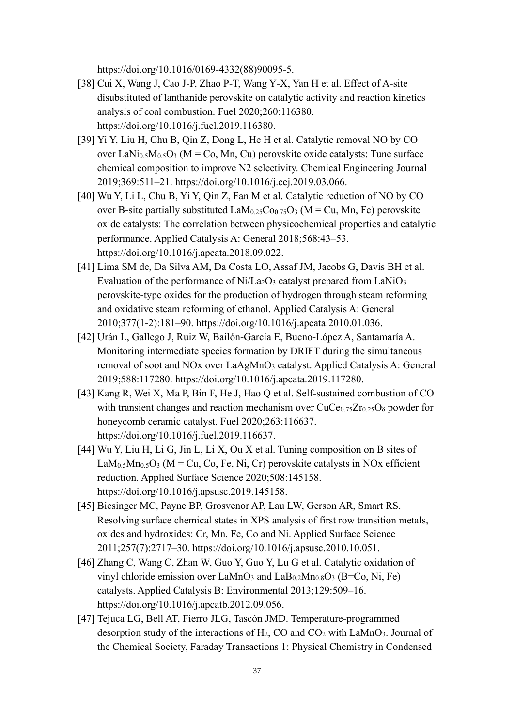[https://doi.org/10.1016/0169-4332\(88\)90095-5.](https://doi.org/10.1016/0169-4332(88)90095-5)

- [38] Cui X, Wang J, Cao J-P, Zhao P-T, Wang Y-X, Yan H et al. Effect of A-site disubstituted of lanthanide perovskite on catalytic activity and reaction kinetics analysis of coal combustion. Fuel 2020;260:116380. [https://doi.org/10.1016/j.fuel.2019.116380.](https://doi.org/10.1016/j.fuel.2019.116380)
- [39] Yi Y, Liu H, Chu B, Qin Z, Dong L, He H et al. Catalytic removal NO by CO over LaNi<sub>0.5</sub>M<sub>0.5</sub>O<sub>3</sub> (M = Co, Mn, Cu) perovskite oxide catalysts: Tune surface chemical composition to improve N2 selectivity. Chemical Engineering Journal 2019;369:511–21. [https://doi.org/10.1016/j.cej.2019.03.066.](https://doi.org/10.1016/j.cej.2019.03.066)
- [40] Wu Y, Li L, Chu B, Yi Y, Qin Z, Fan M et al. Catalytic reduction of NO by CO over B-site partially substituted  $\text{LaM}_{0.25}\text{Co}_{0.75}\text{O}_3$  (M = Cu, Mn, Fe) perovskite oxide catalysts: The correlation between physicochemical properties and catalytic performance. Applied Catalysis A: General 2018;568:43–53. [https://doi.org/10.1016/j.apcata.2018.09.022.](https://doi.org/10.1016/j.apcata.2018.09.022)
- [41] Lima SM de, Da Silva AM, Da Costa LO, Assaf JM, Jacobs G, Davis BH et al. Evaluation of the performance of  $Ni/La<sub>2</sub>O<sub>3</sub>$  catalyst prepared from LaNiO<sub>3</sub> perovskite-type oxides for the production of hydrogen through steam reforming and oxidative steam reforming of ethanol. Applied Catalysis A: General 2010;377(1-2):181–90. [https://doi.org/10.1016/j.apcata.2010.01.036.](https://doi.org/10.1016/j.apcata.2010.01.036)
- [42] Urán L, Gallego J, Ruiz W, Bailón-García E, Bueno-López A, Santamaría A. Monitoring intermediate species formation by DRIFT during the simultaneous removal of soot and NOx over LaAgMnO<sub>3</sub> catalyst. Applied Catalysis A: General 2019;588:117280. [https://doi.org/10.1016/j.apcata.2019.117280.](https://doi.org/10.1016/j.apcata.2019.117280)
- [43] Kang R, Wei X, Ma P, Bin F, He J, Hao Q et al. Self-sustained combustion of CO with transient changes and reaction mechanism over  $CuCe<sub>0.75</sub>Zr<sub>0.25</sub>O<sub>δ</sub>$  powder for honeycomb ceramic catalyst. Fuel 2020;263:116637. [https://doi.org/10.1016/j.fuel.2019.116637.](https://doi.org/10.1016/j.fuel.2019.116637)
- [44] Wu Y, Liu H, Li G, Jin L, Li X, Ou X et al. Tuning composition on B sites of  $\text{LaM}_{0.5}\text{M}_{0.5}\text{O}_3$  (M = Cu, Co, Fe, Ni, Cr) perovskite catalysts in NOx efficient reduction. Applied Surface Science 2020;508:145158. [https://doi.org/10.1016/j.apsusc.2019.145158.](https://doi.org/10.1016/j.apsusc.2019.145158)
- [45] Biesinger MC, Payne BP, Grosvenor AP, Lau LW, Gerson AR, Smart RS. Resolving surface chemical states in XPS analysis of first row transition metals, oxides and hydroxides: Cr, Mn, Fe, Co and Ni. Applied Surface Science 2011;257(7):2717–30. [https://doi.org/10.1016/j.apsusc.2010.10.051.](https://doi.org/10.1016/j.apsusc.2010.10.051)
- [46] Zhang C, Wang C, Zhan W, Guo Y, Guo Y, Lu G et al. Catalytic oxidation of vinyl chloride emission over LaMnO<sub>3</sub> and LaB<sub>0.2</sub>Mn<sub>0.8</sub>O<sub>3</sub> (B=Co, Ni, Fe) catalysts. Applied Catalysis B: Environmental 2013;129:509–16. [https://doi.org/10.1016/j.apcatb.2012.09.056.](https://doi.org/10.1016/j.apcatb.2012.09.056)
- [47] Tejuca LG, Bell AT, Fierro JLG, Tascón JMD. Temperature-programmed desorption study of the interactions of  $H_2$ , CO and CO<sub>2</sub> with LaMnO<sub>3</sub>. Journal of the Chemical Society, Faraday Transactions 1: Physical Chemistry in Condensed